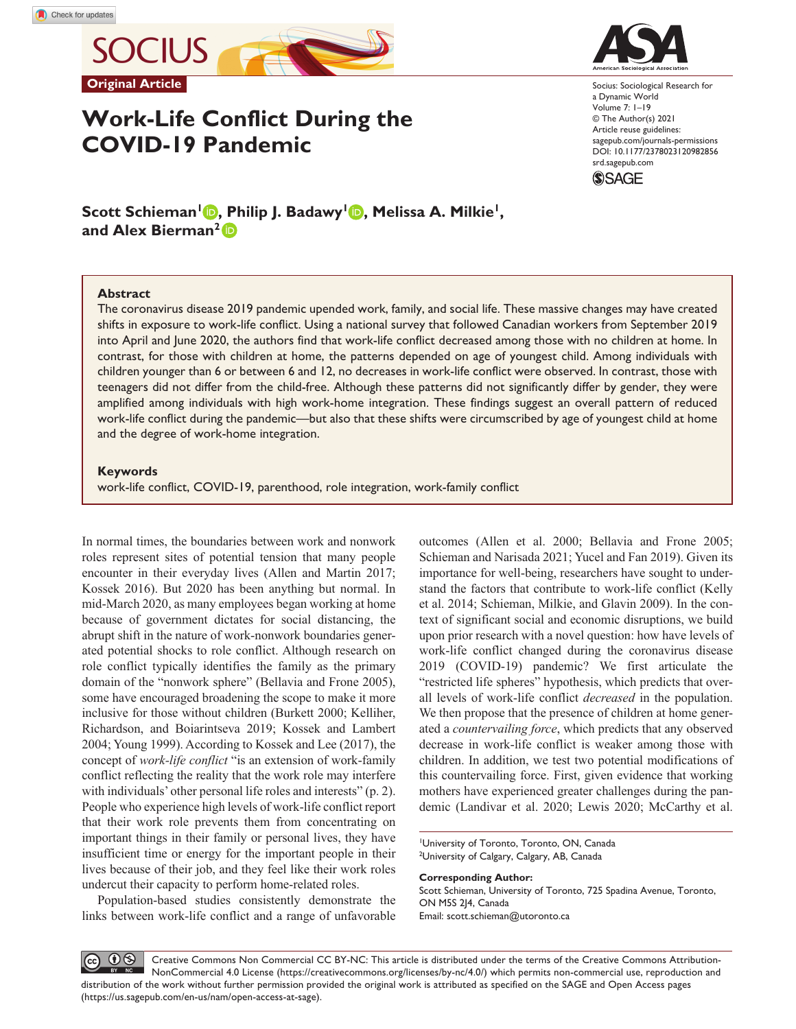**SOCIUS Original Article**

# **Work-Life Conflict During the COVID-19 Pandemic**

Socius: Sociological Research for a Dynamic World Volume 7: 1–19 © The Author(s) 2021 Article reuse guidelines: [sagepub.com/journals-permissions](https://us.sagepub.com/en-us/journals-permissions) https://doi.org/10.1177/2378023120982856 DOI: 10.1177/2378023120982856 [srd.sagepub.com](https://srd.sagepub.com) **SSAGE** 

**Scott Schieman<sup>1</sup> <b>b**, Philip J. Badawy<sup>1</sup> **b**, Melissa A. Milkie<sup>1</sup>, **and Alex Bierman2**

### **Abstract**

The coronavirus disease 2019 pandemic upended work, family, and social life. These massive changes may have created shifts in exposure to work-life conflict. Using a national survey that followed Canadian workers from September 2019 into April and June 2020, the authors find that work-life conflict decreased among those with no children at home. In contrast, for those with children at home, the patterns depended on age of youngest child. Among individuals with children younger than 6 or between 6 and 12, no decreases in work-life conflict were observed. In contrast, those with teenagers did not differ from the child-free. Although these patterns did not significantly differ by gender, they were amplified among individuals with high work-home integration. These findings suggest an overall pattern of reduced work-life conflict during the pandemic—but also that these shifts were circumscribed by age of youngest child at home and the degree of work-home integration.

### **Keywords**

work-life conflict, COVID-19, parenthood, role integration, work-family conflict

In normal times, the boundaries between work and nonwork roles represent sites of potential tension that many people encounter in their everyday lives (Allen and Martin 2017; Kossek 2016). But 2020 has been anything but normal. In mid-March 2020, as many employees began working at home because of government dictates for social distancing, the abrupt shift in the nature of work-nonwork boundaries generated potential shocks to role conflict. Although research on role conflict typically identifies the family as the primary domain of the "nonwork sphere" (Bellavia and Frone 2005), some have encouraged broadening the scope to make it more inclusive for those without children (Burkett 2000; Kelliher, Richardson, and Boiarintseva 2019; Kossek and Lambert 2004; Young 1999). According to Kossek and Lee (2017), the concept of *work-life conflict* "is an extension of work-family conflict reflecting the reality that the work role may interfere with individuals' other personal life roles and interests" (p. 2). People who experience high levels of work-life conflict report that their work role prevents them from concentrating on important things in their family or personal lives, they have insufficient time or energy for the important people in their lives because of their job, and they feel like their work roles undercut their capacity to perform home-related roles.

Population-based studies consistently demonstrate the links between work-life conflict and a range of unfavorable outcomes (Allen et al. 2000; Bellavia and Frone 2005; Schieman and Narisada 2021; Yucel and Fan 2019). Given its importance for well-being, researchers have sought to understand the factors that contribute to work-life conflict (Kelly et al. 2014; Schieman, Milkie, and Glavin 2009). In the context of significant social and economic disruptions, we build upon prior research with a novel question: how have levels of work-life conflict changed during the coronavirus disease 2019 (COVID-19) pandemic? We first articulate the "restricted life spheres" hypothesis, which predicts that overall levels of work-life conflict *decreased* in the population. We then propose that the presence of children at home generated a *countervailing force*, which predicts that any observed decrease in work-life conflict is weaker among those with children. In addition, we test two potential modifications of this countervailing force. First, given evidence that working mothers have experienced greater challenges during the pandemic (Landivar et al. 2020; Lewis 2020; McCarthy et al.

1 University of Toronto, Toronto, ON, Canada <sup>2</sup>University of Calgary, Calgary, AB, Canada

**Corresponding Author:** Scott Schieman, University of Toronto, 725 Spadina Avenue, Toronto, ON M5S 2J4, Canada Email: [scott.schieman@utoronto.ca](mailto:scott.schieman@utoronto.ca)

 $0<sup>6</sup>$ Creative Commons Non Commercial CC BY-NC: This article is distributed under the terms of the Creative Commons Attribution- $(cc)$ NonCommercial 4.0 License (https://creativecommons.org/licenses/by-nc/4.0/) which permits non-commercial use, reproduction and distribution of the work without further permission provided the original work is attributed as specified on the SAGE and Open Access pages (https://us.sagepub.com/en-us/nam/open-access-at-sage).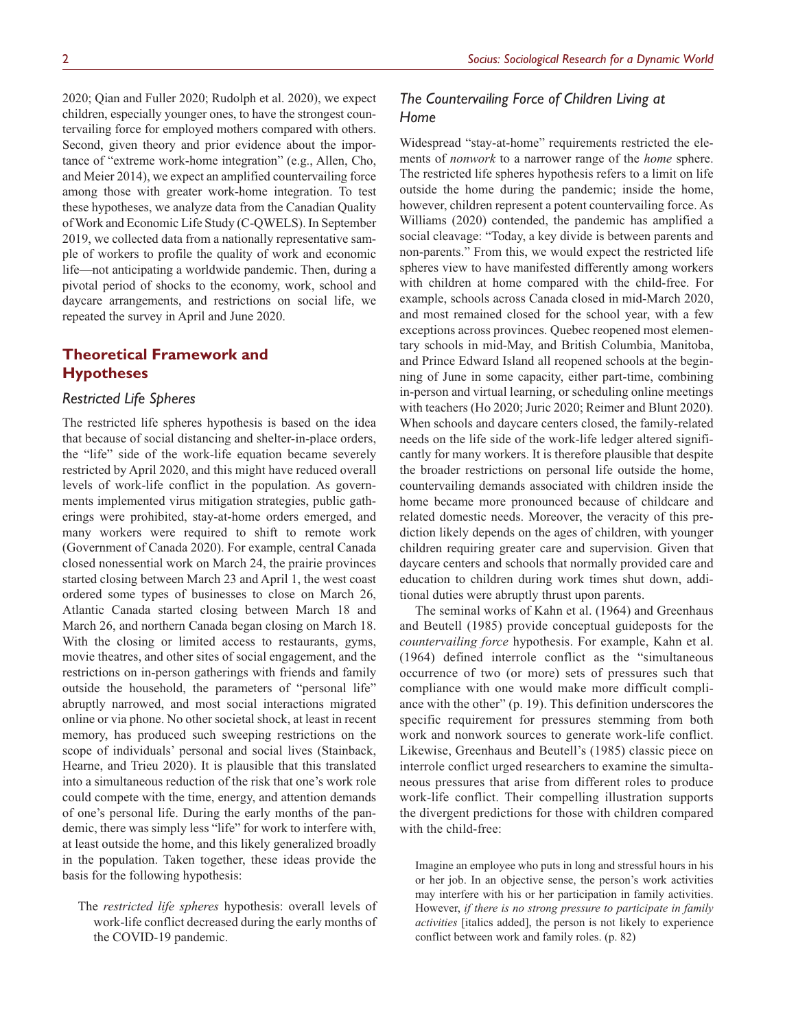2020; Qian and Fuller 2020; Rudolph et al. 2020), we expect children, especially younger ones, to have the strongest countervailing force for employed mothers compared with others. Second, given theory and prior evidence about the importance of "extreme work-home integration" (e.g., Allen, Cho, and Meier 2014), we expect an amplified countervailing force among those with greater work-home integration. To test these hypotheses, we analyze data from the Canadian Quality of Work and Economic Life Study (C-QWELS). In September 2019, we collected data from a nationally representative sample of workers to profile the quality of work and economic life—not anticipating a worldwide pandemic. Then, during a pivotal period of shocks to the economy, work, school and daycare arrangements, and restrictions on social life, we repeated the survey in April and June 2020.

# **Theoretical Framework and Hypotheses**

# *Restricted Life Spheres*

The restricted life spheres hypothesis is based on the idea that because of social distancing and shelter-in-place orders, the "life" side of the work-life equation became severely restricted by April 2020, and this might have reduced overall levels of work-life conflict in the population. As governments implemented virus mitigation strategies, public gatherings were prohibited, stay-at-home orders emerged, and many workers were required to shift to remote work (Government of Canada 2020). For example, central Canada closed nonessential work on March 24, the prairie provinces started closing between March 23 and April 1, the west coast ordered some types of businesses to close on March 26, Atlantic Canada started closing between March 18 and March 26, and northern Canada began closing on March 18. With the closing or limited access to restaurants, gyms, movie theatres, and other sites of social engagement, and the restrictions on in-person gatherings with friends and family outside the household, the parameters of "personal life" abruptly narrowed, and most social interactions migrated online or via phone. No other societal shock, at least in recent memory, has produced such sweeping restrictions on the scope of individuals' personal and social lives (Stainback, Hearne, and Trieu 2020). It is plausible that this translated into a simultaneous reduction of the risk that one's work role could compete with the time, energy, and attention demands of one's personal life. During the early months of the pandemic, there was simply less "life" for work to interfere with, at least outside the home, and this likely generalized broadly in the population. Taken together, these ideas provide the basis for the following hypothesis:

The *restricted life spheres* hypothesis: overall levels of work-life conflict decreased during the early months of the COVID-19 pandemic.

# *The Countervailing Force of Children Living at Home*

Widespread "stay-at-home" requirements restricted the elements of *nonwork* to a narrower range of the *home* sphere. The restricted life spheres hypothesis refers to a limit on life outside the home during the pandemic; inside the home, however, children represent a potent countervailing force. As Williams (2020) contended, the pandemic has amplified a social cleavage: "Today, a key divide is between parents and non-parents." From this, we would expect the restricted life spheres view to have manifested differently among workers with children at home compared with the child-free. For example, schools across Canada closed in mid-March 2020, and most remained closed for the school year, with a few exceptions across provinces. Quebec reopened most elementary schools in mid-May, and British Columbia, Manitoba, and Prince Edward Island all reopened schools at the beginning of June in some capacity, either part-time, combining in-person and virtual learning, or scheduling online meetings with teachers (Ho 2020; Juric 2020; Reimer and Blunt 2020). When schools and daycare centers closed, the family-related needs on the life side of the work-life ledger altered significantly for many workers. It is therefore plausible that despite the broader restrictions on personal life outside the home, countervailing demands associated with children inside the home became more pronounced because of childcare and related domestic needs. Moreover, the veracity of this prediction likely depends on the ages of children, with younger children requiring greater care and supervision. Given that daycare centers and schools that normally provided care and education to children during work times shut down, additional duties were abruptly thrust upon parents.

The seminal works of Kahn et al. (1964) and Greenhaus and Beutell (1985) provide conceptual guideposts for the *countervailing force* hypothesis. For example, Kahn et al. (1964) defined interrole conflict as the "simultaneous occurrence of two (or more) sets of pressures such that compliance with one would make more difficult compliance with the other" (p. 19). This definition underscores the specific requirement for pressures stemming from both work and nonwork sources to generate work-life conflict. Likewise, Greenhaus and Beutell's (1985) classic piece on interrole conflict urged researchers to examine the simultaneous pressures that arise from different roles to produce work-life conflict. Their compelling illustration supports the divergent predictions for those with children compared with the child-free:

Imagine an employee who puts in long and stressful hours in his or her job. In an objective sense, the person's work activities may interfere with his or her participation in family activities. However, *if there is no strong pressure to participate in family activities* [italics added], the person is not likely to experience conflict between work and family roles. (p. 82)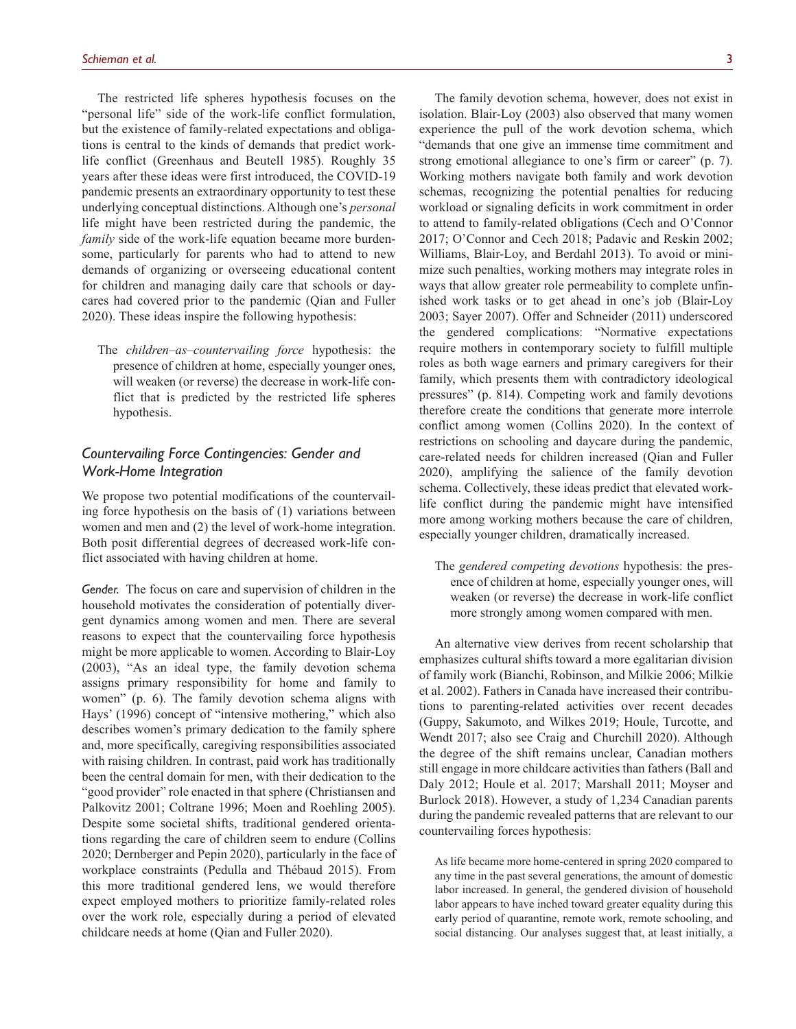The restricted life spheres hypothesis focuses on the "personal life" side of the work-life conflict formulation, but the existence of family-related expectations and obligations is central to the kinds of demands that predict worklife conflict (Greenhaus and Beutell 1985). Roughly 35 years after these ideas were first introduced, the COVID-19 pandemic presents an extraordinary opportunity to test these underlying conceptual distinctions. Although one's *personal* life might have been restricted during the pandemic, the *family* side of the work-life equation became more burdensome, particularly for parents who had to attend to new demands of organizing or overseeing educational content for children and managing daily care that schools or daycares had covered prior to the pandemic (Qian and Fuller 2020). These ideas inspire the following hypothesis:

The *children–as–countervailing force* hypothesis: the presence of children at home, especially younger ones, will weaken (or reverse) the decrease in work-life conflict that is predicted by the restricted life spheres hypothesis.

# *Countervailing Force Contingencies: Gender and Work-Home Integration*

We propose two potential modifications of the countervailing force hypothesis on the basis of (1) variations between women and men and (2) the level of work-home integration. Both posit differential degrees of decreased work-life conflict associated with having children at home.

*Gender.* The focus on care and supervision of children in the household motivates the consideration of potentially divergent dynamics among women and men. There are several reasons to expect that the countervailing force hypothesis might be more applicable to women. According to Blair-Loy (2003), "As an ideal type, the family devotion schema assigns primary responsibility for home and family to women" (p. 6). The family devotion schema aligns with Hays' (1996) concept of "intensive mothering," which also describes women's primary dedication to the family sphere and, more specifically, caregiving responsibilities associated with raising children. In contrast, paid work has traditionally been the central domain for men, with their dedication to the "good provider" role enacted in that sphere (Christiansen and Palkovitz 2001; Coltrane 1996; Moen and Roehling 2005). Despite some societal shifts, traditional gendered orientations regarding the care of children seem to endure (Collins 2020; Dernberger and Pepin 2020), particularly in the face of workplace constraints (Pedulla and Thébaud 2015). From this more traditional gendered lens, we would therefore expect employed mothers to prioritize family-related roles over the work role, especially during a period of elevated childcare needs at home (Qian and Fuller 2020).

The family devotion schema, however, does not exist in isolation. Blair-Loy (2003) also observed that many women experience the pull of the work devotion schema, which "demands that one give an immense time commitment and strong emotional allegiance to one's firm or career" (p. 7). Working mothers navigate both family and work devotion schemas, recognizing the potential penalties for reducing workload or signaling deficits in work commitment in order to attend to family-related obligations (Cech and O'Connor 2017; O'Connor and Cech 2018; Padavic and Reskin 2002; Williams, Blair-Loy, and Berdahl 2013). To avoid or minimize such penalties, working mothers may integrate roles in ways that allow greater role permeability to complete unfinished work tasks or to get ahead in one's job (Blair-Loy 2003; Sayer 2007). Offer and Schneider (2011) underscored the gendered complications: "Normative expectations require mothers in contemporary society to fulfill multiple roles as both wage earners and primary caregivers for their family, which presents them with contradictory ideological pressures" (p. 814). Competing work and family devotions therefore create the conditions that generate more interrole conflict among women (Collins 2020). In the context of restrictions on schooling and daycare during the pandemic, care-related needs for children increased (Qian and Fuller 2020), amplifying the salience of the family devotion schema. Collectively, these ideas predict that elevated worklife conflict during the pandemic might have intensified more among working mothers because the care of children, especially younger children, dramatically increased.

The *gendered competing devotions* hypothesis: the presence of children at home, especially younger ones, will weaken (or reverse) the decrease in work-life conflict more strongly among women compared with men.

An alternative view derives from recent scholarship that emphasizes cultural shifts toward a more egalitarian division of family work (Bianchi, Robinson, and Milkie 2006; Milkie et al. 2002). Fathers in Canada have increased their contributions to parenting-related activities over recent decades (Guppy, Sakumoto, and Wilkes 2019; Houle, Turcotte, and Wendt 2017; also see Craig and Churchill 2020). Although the degree of the shift remains unclear, Canadian mothers still engage in more childcare activities than fathers (Ball and Daly 2012; Houle et al. 2017; Marshall 2011; Moyser and Burlock 2018). However, a study of 1,234 Canadian parents during the pandemic revealed patterns that are relevant to our countervailing forces hypothesis:

As life became more home-centered in spring 2020 compared to any time in the past several generations, the amount of domestic labor increased. In general, the gendered division of household labor appears to have inched toward greater equality during this early period of quarantine, remote work, remote schooling, and social distancing. Our analyses suggest that, at least initially, a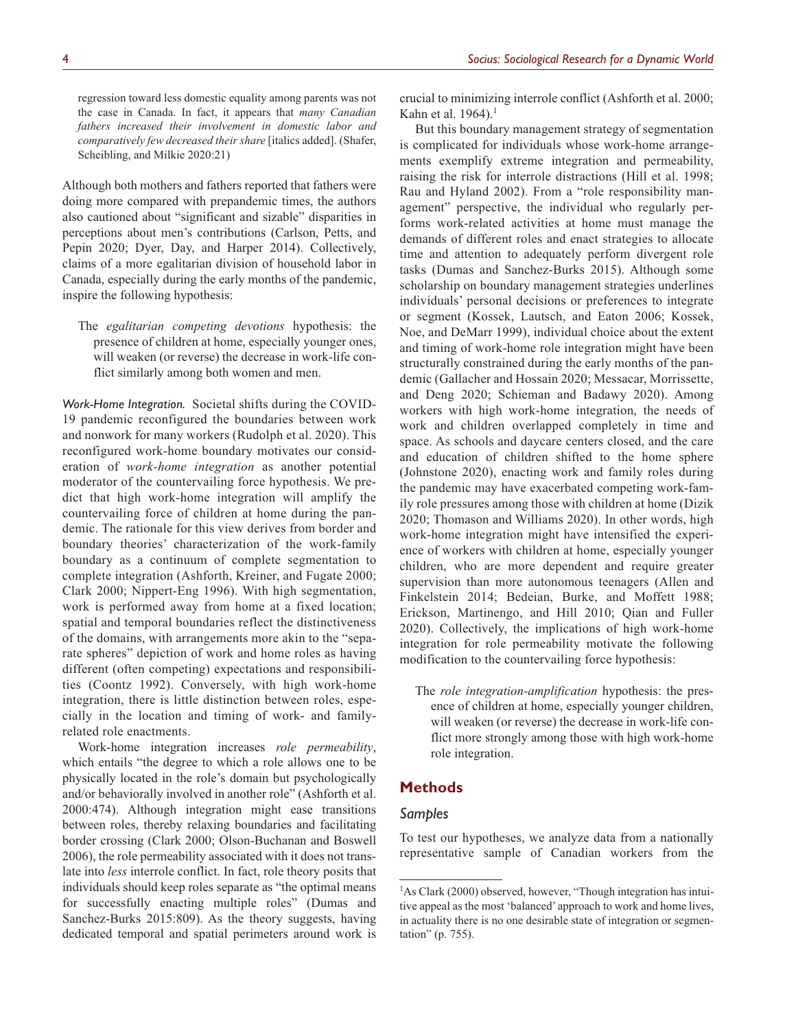regression toward less domestic equality among parents was not the case in Canada. In fact, it appears that *many Canadian fathers increased their involvement in domestic labor and comparatively few decreased their share* [italics added]. (Shafer, Scheibling, and Milkie 2020:21)

Although both mothers and fathers reported that fathers were doing more compared with prepandemic times, the authors also cautioned about "significant and sizable" disparities in perceptions about men's contributions (Carlson, Petts, and Pepin 2020; Dyer, Day, and Harper 2014). Collectively, claims of a more egalitarian division of household labor in Canada, especially during the early months of the pandemic, inspire the following hypothesis:

The *egalitarian competing devotions* hypothesis: the presence of children at home, especially younger ones, will weaken (or reverse) the decrease in work-life conflict similarly among both women and men.

*Work-Home Integration.* Societal shifts during the COVID-19 pandemic reconfigured the boundaries between work and nonwork for many workers (Rudolph et al. 2020). This reconfigured work-home boundary motivates our consideration of *work-home integration* as another potential moderator of the countervailing force hypothesis. We predict that high work-home integration will amplify the countervailing force of children at home during the pandemic. The rationale for this view derives from border and boundary theories' characterization of the work-family boundary as a continuum of complete segmentation to complete integration (Ashforth, Kreiner, and Fugate 2000; Clark 2000; Nippert-Eng 1996). With high segmentation, work is performed away from home at a fixed location; spatial and temporal boundaries reflect the distinctiveness of the domains, with arrangements more akin to the "separate spheres" depiction of work and home roles as having different (often competing) expectations and responsibilities (Coontz 1992). Conversely, with high work-home integration, there is little distinction between roles, especially in the location and timing of work- and familyrelated role enactments.

Work-home integration increases *role permeability*, which entails "the degree to which a role allows one to be physically located in the role's domain but psychologically and/or behaviorally involved in another role" (Ashforth et al. 2000:474). Although integration might ease transitions between roles, thereby relaxing boundaries and facilitating border crossing (Clark 2000; Olson-Buchanan and Boswell 2006), the role permeability associated with it does not translate into *less* interrole conflict. In fact, role theory posits that individuals should keep roles separate as "the optimal means for successfully enacting multiple roles" (Dumas and Sanchez-Burks 2015:809). As the theory suggests, having dedicated temporal and spatial perimeters around work is

crucial to minimizing interrole conflict (Ashforth et al. 2000; Kahn et al. 1964).<sup>1</sup>

But this boundary management strategy of segmentation is complicated for individuals whose work-home arrangements exemplify extreme integration and permeability, raising the risk for interrole distractions (Hill et al. 1998; Rau and Hyland 2002). From a "role responsibility management" perspective, the individual who regularly performs work-related activities at home must manage the demands of different roles and enact strategies to allocate time and attention to adequately perform divergent role tasks (Dumas and Sanchez-Burks 2015). Although some scholarship on boundary management strategies underlines individuals' personal decisions or preferences to integrate or segment (Kossek, Lautsch, and Eaton 2006; Kossek, Noe, and DeMarr 1999), individual choice about the extent and timing of work-home role integration might have been structurally constrained during the early months of the pandemic (Gallacher and Hossain 2020; Messacar, Morrissette, and Deng 2020; Schieman and Badawy 2020). Among workers with high work-home integration, the needs of work and children overlapped completely in time and space. As schools and daycare centers closed, and the care and education of children shifted to the home sphere (Johnstone 2020), enacting work and family roles during the pandemic may have exacerbated competing work-family role pressures among those with children at home (Dizik 2020; Thomason and Williams 2020). In other words, high work-home integration might have intensified the experience of workers with children at home, especially younger children, who are more dependent and require greater supervision than more autonomous teenagers (Allen and Finkelstein 2014; Bedeian, Burke, and Moffett 1988; Erickson, Martinengo, and Hill 2010; Qian and Fuller 2020). Collectively, the implications of high work-home integration for role permeability motivate the following modification to the countervailing force hypothesis:

The *role integration-amplification* hypothesis: the presence of children at home, especially younger children, will weaken (or reverse) the decrease in work-life conflict more strongly among those with high work-home role integration.

### **Methods**

### *Samples*

To test our hypotheses, we analyze data from a nationally representative sample of Canadian workers from the

<sup>&</sup>lt;sup>1</sup>As Clark (2000) observed, however, "Though integration has intuitive appeal as the most 'balanced' approach to work and home lives, in actuality there is no one desirable state of integration or segmentation" (p. 755).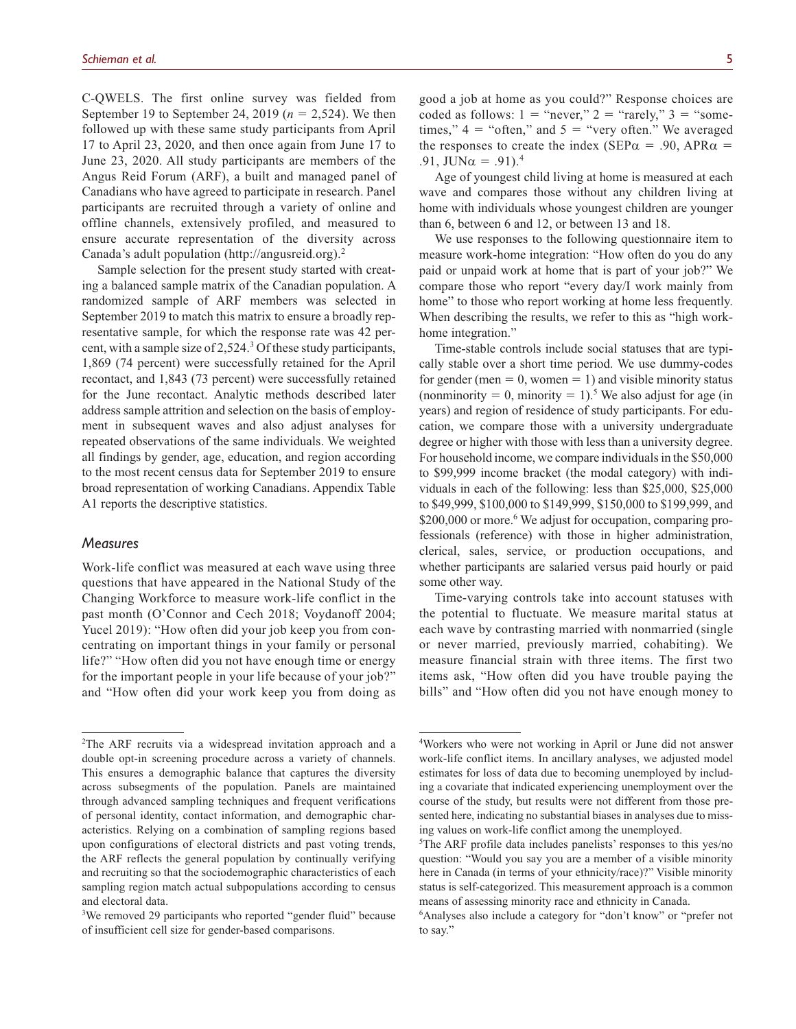C-QWELS. The first online survey was fielded from September 19 to September 24, 2019 (*n* = 2,524). We then followed up with these same study participants from April 17 to April 23, 2020, and then once again from June 17 to June 23, 2020. All study participants are members of the Angus Reid Forum (ARF), a built and managed panel of Canadians who have agreed to participate in research. Panel participants are recruited through a variety of online and offline channels, extensively profiled, and measured to ensure accurate representation of the diversity across Canada's adult population (<http://angusreid.org>).2

Sample selection for the present study started with creating a balanced sample matrix of the Canadian population. A randomized sample of ARF members was selected in September 2019 to match this matrix to ensure a broadly representative sample, for which the response rate was 42 percent, with a sample size of 2,524.<sup>3</sup> Of these study participants, 1,869 (74 percent) were successfully retained for the April recontact, and 1,843 (73 percent) were successfully retained for the June recontact. Analytic methods described later address sample attrition and selection on the basis of employment in subsequent waves and also adjust analyses for repeated observations of the same individuals. We weighted all findings by gender, age, education, and region according to the most recent census data for September 2019 to ensure broad representation of working Canadians. Appendix Table A1 reports the descriptive statistics.

### *Measures*

Work-life conflict was measured at each wave using three questions that have appeared in the National Study of the Changing Workforce to measure work-life conflict in the past month (O'Connor and Cech 2018; Voydanoff 2004; Yucel 2019): "How often did your job keep you from concentrating on important things in your family or personal life?" "How often did you not have enough time or energy for the important people in your life because of your job?" and "How often did your work keep you from doing as

good a job at home as you could?" Response choices are coded as follows:  $1 =$  "never,"  $2 =$  "rarely,"  $3 =$  "sometimes,"  $4 =$  "often," and  $5 =$  "very often." We averaged the responses to create the index (SEP $\alpha$  = .90, APR $\alpha$  = .91,  $JUN\alpha = .91$ .<sup>4</sup>

Age of youngest child living at home is measured at each wave and compares those without any children living at home with individuals whose youngest children are younger than 6, between 6 and 12, or between 13 and 18.

We use responses to the following questionnaire item to measure work-home integration: "How often do you do any paid or unpaid work at home that is part of your job?" We compare those who report "every day/I work mainly from home" to those who report working at home less frequently. When describing the results, we refer to this as "high workhome integration."

Time-stable controls include social statuses that are typically stable over a short time period. We use dummy-codes for gender (men  $= 0$ , women  $= 1$ ) and visible minority status (nonminority = 0, minority = 1).<sup>5</sup> We also adjust for age (in years) and region of residence of study participants. For education, we compare those with a university undergraduate degree or higher with those with less than a university degree. For household income, we compare individuals in the \$50,000 to \$99,999 income bracket (the modal category) with individuals in each of the following: less than \$25,000, \$25,000 to \$49,999, \$100,000 to \$149,999, \$150,000 to \$199,999, and \$200,000 or more.<sup>6</sup> We adjust for occupation, comparing professionals (reference) with those in higher administration, clerical, sales, service, or production occupations, and whether participants are salaried versus paid hourly or paid some other way.

Time-varying controls take into account statuses with the potential to fluctuate. We measure marital status at each wave by contrasting married with nonmarried (single or never married, previously married, cohabiting). We measure financial strain with three items. The first two items ask, "How often did you have trouble paying the bills" and "How often did you not have enough money to

<sup>2</sup> The ARF recruits via a widespread invitation approach and a double opt-in screening procedure across a variety of channels. This ensures a demographic balance that captures the diversity across subsegments of the population. Panels are maintained through advanced sampling techniques and frequent verifications of personal identity, contact information, and demographic characteristics. Relying on a combination of sampling regions based upon configurations of electoral districts and past voting trends, the ARF reflects the general population by continually verifying and recruiting so that the sociodemographic characteristics of each sampling region match actual subpopulations according to census and electoral data.

<sup>&</sup>lt;sup>3</sup>We removed 29 participants who reported "gender fluid" because of insufficient cell size for gender-based comparisons.

<sup>4</sup> Workers who were not working in April or June did not answer work-life conflict items. In ancillary analyses, we adjusted model estimates for loss of data due to becoming unemployed by including a covariate that indicated experiencing unemployment over the course of the study, but results were not different from those presented here, indicating no substantial biases in analyses due to missing values on work-life conflict among the unemployed.

<sup>5</sup> The ARF profile data includes panelists' responses to this yes/no question: "Would you say you are a member of a visible minority here in Canada (in terms of your ethnicity/race)?" Visible minority status is self-categorized. This measurement approach is a common means of assessing minority race and ethnicity in Canada.

<sup>6</sup> Analyses also include a category for "don't know" or "prefer not to say."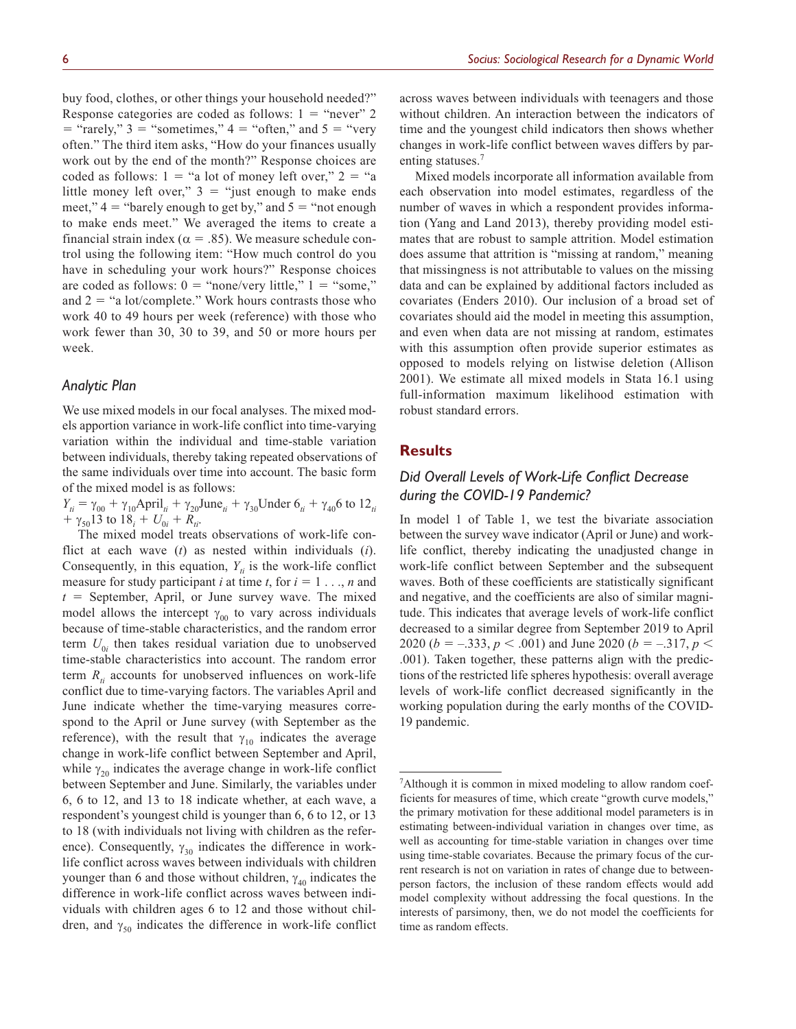buy food, clothes, or other things your household needed?" Response categories are coded as follows:  $1 =$  "never" 2  $=$  "rarely," 3 = "sometimes," 4 = "often," and 5 = "very often." The third item asks, "How do your finances usually work out by the end of the month?" Response choices are coded as follows:  $1 =$  "a lot of money left over,"  $2 =$  "a little money left over,"  $3 =$  "just enough to make ends meet,"  $4 =$  "barely enough to get by," and  $5 =$  "not enough to make ends meet." We averaged the items to create a financial strain index ( $\alpha = .85$ ). We measure schedule control using the following item: "How much control do you have in scheduling your work hours?" Response choices are coded as follows:  $0 =$  "none/very little,"  $1 =$  "some," and  $2 =$  "a lot/complete." Work hours contrasts those who work 40 to 49 hours per week (reference) with those who work fewer than 30, 30 to 39, and 50 or more hours per week.

## *Analytic Plan*

We use mixed models in our focal analyses. The mixed models apportion variance in work-life conflict into time-varying variation within the individual and time-stable variation between individuals, thereby taking repeated observations of the same individuals over time into account. The basic form of the mixed model is as follows:

 $Y_{ti} = \gamma_{00} + \gamma_{10}$ April<sub>ti</sub> +  $\gamma_{20}$ June<sub>ti</sub> +  $\gamma_{30}$ Under  $6_{ti} + \gamma_{40}$ 6 to 12<sub>ti</sub>  $+ \gamma_{50}13$  to  $18_i + U_{0i} + R_{ii}$ .

The mixed model treats observations of work-life conflict at each wave (*t*) as nested within individuals (*i*). Consequently, in this equation,  $Y_{ti}$  is the work-life conflict measure for study participant *i* at time *t*, for  $i = 1, \ldots, n$  and  $t =$  September, April, or June survey wave. The mixed model allows the intercept  $\gamma_{00}$  to vary across individuals because of time-stable characteristics, and the random error term  $U_{0i}$  then takes residual variation due to unobserved time-stable characteristics into account. The random error term  $R_{ti}$  accounts for unobserved influences on work-life conflict due to time-varying factors. The variables April and June indicate whether the time-varying measures correspond to the April or June survey (with September as the reference), with the result that  $\gamma_{10}$  indicates the average change in work-life conflict between September and April, while  $\gamma_{20}$  indicates the average change in work-life conflict between September and June. Similarly, the variables under 6, 6 to 12, and 13 to 18 indicate whether, at each wave, a respondent's youngest child is younger than 6, 6 to 12, or 13 to 18 (with individuals not living with children as the reference). Consequently,  $\gamma_{30}$  indicates the difference in worklife conflict across waves between individuals with children younger than 6 and those without children,  $\gamma_{40}$  indicates the difference in work-life conflict across waves between individuals with children ages 6 to 12 and those without children, and  $\gamma_{50}$  indicates the difference in work-life conflict

across waves between individuals with teenagers and those without children. An interaction between the indicators of time and the youngest child indicators then shows whether changes in work-life conflict between waves differs by parenting statuses.<sup>7</sup>

Mixed models incorporate all information available from each observation into model estimates, regardless of the number of waves in which a respondent provides information (Yang and Land 2013), thereby providing model estimates that are robust to sample attrition. Model estimation does assume that attrition is "missing at random," meaning that missingness is not attributable to values on the missing data and can be explained by additional factors included as covariates (Enders 2010). Our inclusion of a broad set of covariates should aid the model in meeting this assumption, and even when data are not missing at random, estimates with this assumption often provide superior estimates as opposed to models relying on listwise deletion (Allison 2001). We estimate all mixed models in Stata 16.1 using full-information maximum likelihood estimation with robust standard errors.

### **Results**

# *Did Overall Levels of Work-Life Conflict Decrease during the COVID-19 Pandemic?*

In model 1 of Table 1, we test the bivariate association between the survey wave indicator (April or June) and worklife conflict, thereby indicating the unadjusted change in work-life conflict between September and the subsequent waves. Both of these coefficients are statistically significant and negative, and the coefficients are also of similar magnitude. This indicates that average levels of work-life conflict decreased to a similar degree from September 2019 to April 2020 (*b* =  $-.333$ , *p* < .001) and June 2020 (*b* =  $-.317$ , *p* < .001). Taken together, these patterns align with the predictions of the restricted life spheres hypothesis: overall average levels of work-life conflict decreased significantly in the working population during the early months of the COVID-19 pandemic.

<sup>&</sup>lt;sup>7</sup>Although it is common in mixed modeling to allow random coefficients for measures of time, which create "growth curve models," the primary motivation for these additional model parameters is in estimating between-individual variation in changes over time, as well as accounting for time-stable variation in changes over time using time-stable covariates. Because the primary focus of the current research is not on variation in rates of change due to betweenperson factors, the inclusion of these random effects would add model complexity without addressing the focal questions. In the interests of parsimony, then, we do not model the coefficients for time as random effects.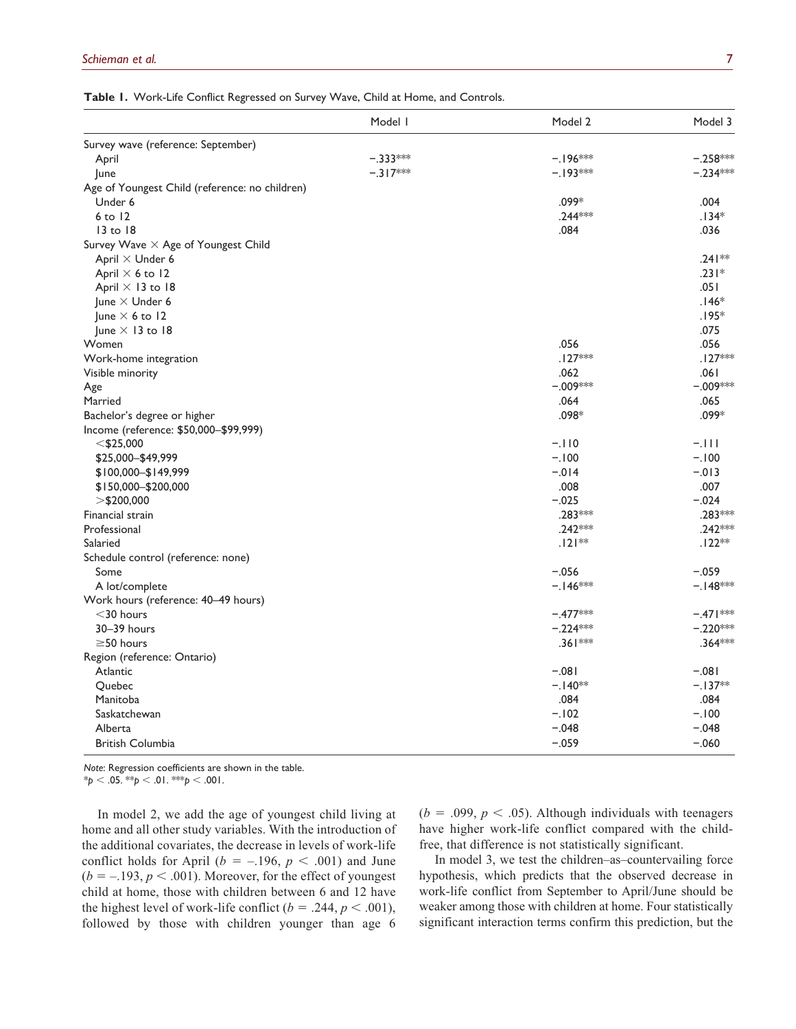**Table 1.** Work-Life Conflict Regressed on Survey Wave, Child at Home, and Controls.

|                                                | Model I    | Model 2    | Model 3    |
|------------------------------------------------|------------|------------|------------|
| Survey wave (reference: September)             |            |            |            |
| April                                          | $-.333***$ | $-.196***$ | $-.258***$ |
| June                                           | $-.317***$ | $-.193***$ | $-.234***$ |
| Age of Youngest Child (reference: no children) |            |            |            |
| Under 6                                        |            | $.099*$    | .004       |
| $6$ to $12$                                    |            | $.244***$  | $.134*$    |
| $13$ to $18$                                   |            | .084       | .036       |
| Survey Wave X Age of Youngest Child            |            |            |            |
| April $\times$ Under 6                         |            |            | $.241**$   |
| April $\times$ 6 to 12                         |            |            | $.231*$    |
| April × 13 to 18                               |            |            | .051       |
| June $\times$ Under 6                          |            |            | $.146*$    |
| lune $\times$ 6 to 12                          |            |            | $.195*$    |
| June $\times$ 13 to 18                         |            |            | .075       |
| Women                                          |            | .056       | .056       |
| Work-home integration                          |            | $.127***$  | $.127***$  |
| Visible minority                               |            | .062       | .061       |
| Age                                            |            | $-.009***$ | $-.009***$ |
| Married                                        |            | .064       | .065       |
| Bachelor's degree or higher                    |            | .098*      | .099*      |
| Income (reference: \$50,000-\$99,999)          |            |            |            |
| $<$ \$25,000                                   |            | $-.110$    | $-.111$    |
| \$25,000-\$49,999                              |            | $-.100$    | $-.100$    |
| \$100,000-\$149,999                            |            | $-0.014$   | $-.013$    |
| \$150,000 - \$200,000                          |            | .008       | .007       |
| $>\$200,000$                                   |            | $-.025$    | $-.024$    |
| Financial strain                               |            | .283***    | .283***    |
| Professional                                   |            | .242 ***   | $.242***$  |
| Salaried                                       |            | $.121**$   | $.122**$   |
| Schedule control (reference: none)             |            |            |            |
| Some                                           |            | $-.056$    | $-.059$    |
| A lot/complete                                 |            | $-.146***$ | $-.148***$ |
| Work hours (reference: 40-49 hours)            |            |            |            |
| $<$ 30 hours                                   |            | $-.477***$ | $-.471***$ |
| 30-39 hours                                    |            | $-.224***$ | $-.220***$ |
| $\geq$ 50 hours                                |            | .361 ***   | .364***    |
| Region (reference: Ontario)                    |            |            |            |
| Atlantic                                       |            | $-.081$    | $-.081$    |
| Quebec                                         |            | $-.140**$  | $-.137**$  |
| Manitoba                                       |            | .084       | .084       |
| Saskatchewan                                   |            | $-.102$    | $-.100$    |
| Alberta                                        |            | $-.048$    | $-.048$    |
| <b>British Columbia</b>                        |            | $-.059$    | $-.060$    |

*Note*: Regression coefficients are shown in the table.  $*_{p}$  < .05.  $*_{p}$  < .01.  $*_{p}$  < .001.

In model 2, we add the age of youngest child living at home and all other study variables. With the introduction of the additional covariates, the decrease in levels of work-life conflict holds for April ( $b = -.196$ ,  $p < .001$ ) and June  $(b = -193, p < .001)$ . Moreover, for the effect of youngest child at home, those with children between 6 and 12 have the highest level of work-life conflict ( $b = .244$ ,  $p < .001$ ), followed by those with children younger than age 6

 $(b = .099, p < .05)$ . Although individuals with teenagers have higher work-life conflict compared with the childfree, that difference is not statistically significant.

In model 3, we test the children–as–countervailing force hypothesis, which predicts that the observed decrease in work-life conflict from September to April/June should be weaker among those with children at home. Four statistically significant interaction terms confirm this prediction, but the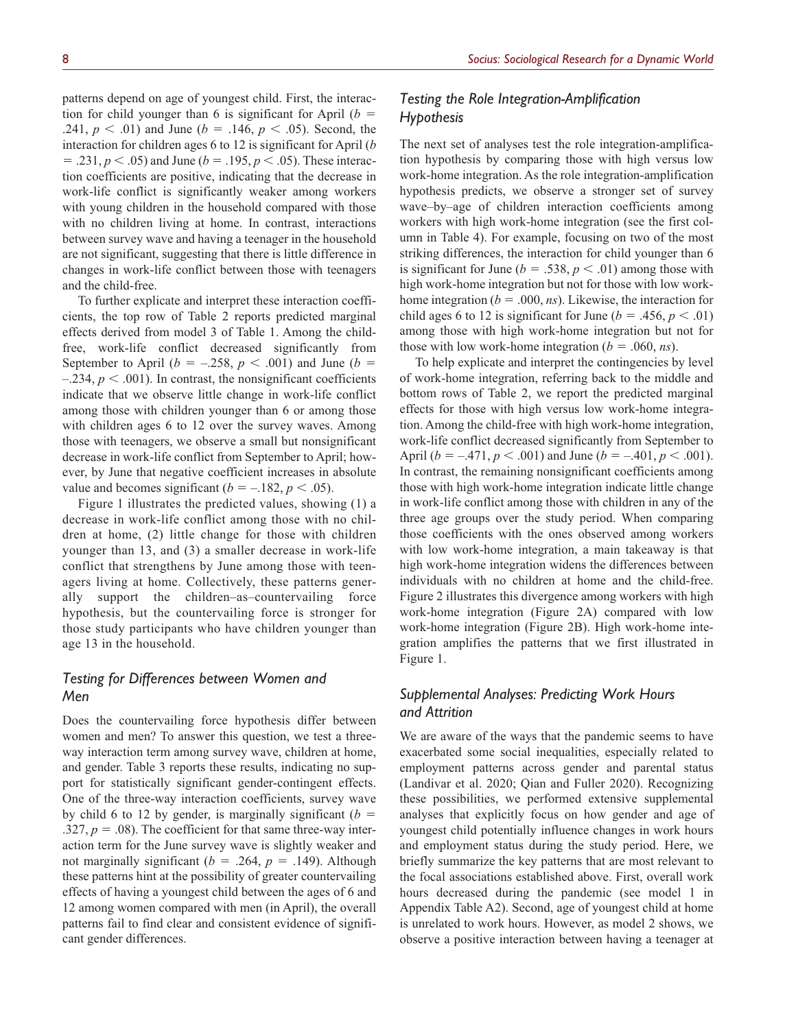patterns depend on age of youngest child. First, the interaction for child younger than 6 is significant for April  $(b =$ .241,  $p < .01$ ) and June ( $b = .146$ ,  $p < .05$ ). Second, the interaction for children ages 6 to 12 is significant for April (*b*  $= .231, p < .05$  and June ( $b = .195, p < .05$ ). These interaction coefficients are positive, indicating that the decrease in work-life conflict is significantly weaker among workers with young children in the household compared with those with no children living at home. In contrast, interactions between survey wave and having a teenager in the household are not significant, suggesting that there is little difference in changes in work-life conflict between those with teenagers and the child-free.

To further explicate and interpret these interaction coefficients, the top row of Table 2 reports predicted marginal effects derived from model 3 of Table 1. Among the childfree, work-life conflict decreased significantly from September to April ( $b = -.258$ ,  $p < .001$ ) and June ( $b =$  $-234, p < .001$ ). In contrast, the nonsignificant coefficients indicate that we observe little change in work-life conflict among those with children younger than 6 or among those with children ages 6 to 12 over the survey waves. Among those with teenagers, we observe a small but nonsignificant decrease in work-life conflict from September to April; however, by June that negative coefficient increases in absolute value and becomes significant ( $b = -.182, p < .05$ ).

Figure 1 illustrates the predicted values, showing (1) a decrease in work-life conflict among those with no children at home, (2) little change for those with children younger than 13, and (3) a smaller decrease in work-life conflict that strengthens by June among those with teenagers living at home. Collectively, these patterns generally support the children–as–countervailing force hypothesis, but the countervailing force is stronger for those study participants who have children younger than age 13 in the household.

# *Testing for Differences between Women and Men*

Does the countervailing force hypothesis differ between women and men? To answer this question, we test a threeway interaction term among survey wave, children at home, and gender. Table 3 reports these results, indicating no support for statistically significant gender-contingent effects. One of the three-way interaction coefficients, survey wave by child 6 to 12 by gender, is marginally significant  $(b =$ .327,  $p = .08$ ). The coefficient for that same three-way interaction term for the June survey wave is slightly weaker and not marginally significant ( $b = .264$ ,  $p = .149$ ). Although these patterns hint at the possibility of greater countervailing effects of having a youngest child between the ages of 6 and 12 among women compared with men (in April), the overall patterns fail to find clear and consistent evidence of significant gender differences.

# *Testing the Role Integration-Amplification Hypothesis*

The next set of analyses test the role integration-amplification hypothesis by comparing those with high versus low work-home integration. As the role integration-amplification hypothesis predicts, we observe a stronger set of survey wave–by–age of children interaction coefficients among workers with high work-home integration (see the first column in Table 4). For example, focusing on two of the most striking differences, the interaction for child younger than 6 is significant for June ( $b = .538$ ,  $p < .01$ ) among those with high work-home integration but not for those with low workhome integration ( $b = .000$ , *ns*). Likewise, the interaction for child ages 6 to 12 is significant for June ( $b = .456$ ,  $p < .01$ ) among those with high work-home integration but not for those with low work-home integration  $(b = .060, ns)$ .

To help explicate and interpret the contingencies by level of work-home integration, referring back to the middle and bottom rows of Table 2, we report the predicted marginal effects for those with high versus low work-home integration. Among the child-free with high work-home integration, work-life conflict decreased significantly from September to April ( $b = -.471, p < .001$ ) and June ( $b = -.401, p < .001$ ). In contrast, the remaining nonsignificant coefficients among those with high work-home integration indicate little change in work-life conflict among those with children in any of the three age groups over the study period. When comparing those coefficients with the ones observed among workers with low work-home integration, a main takeaway is that high work-home integration widens the differences between individuals with no children at home and the child-free. Figure 2 illustrates this divergence among workers with high work-home integration (Figure 2A) compared with low work-home integration (Figure 2B). High work-home integration amplifies the patterns that we first illustrated in Figure 1.

# *Supplemental Analyses: Predicting Work Hours and Attrition*

We are aware of the ways that the pandemic seems to have exacerbated some social inequalities, especially related to employment patterns across gender and parental status (Landivar et al. 2020; Qian and Fuller 2020). Recognizing these possibilities, we performed extensive supplemental analyses that explicitly focus on how gender and age of youngest child potentially influence changes in work hours and employment status during the study period. Here, we briefly summarize the key patterns that are most relevant to the focal associations established above. First, overall work hours decreased during the pandemic (see model 1 in Appendix Table A2). Second, age of youngest child at home is unrelated to work hours. However, as model 2 shows, we observe a positive interaction between having a teenager at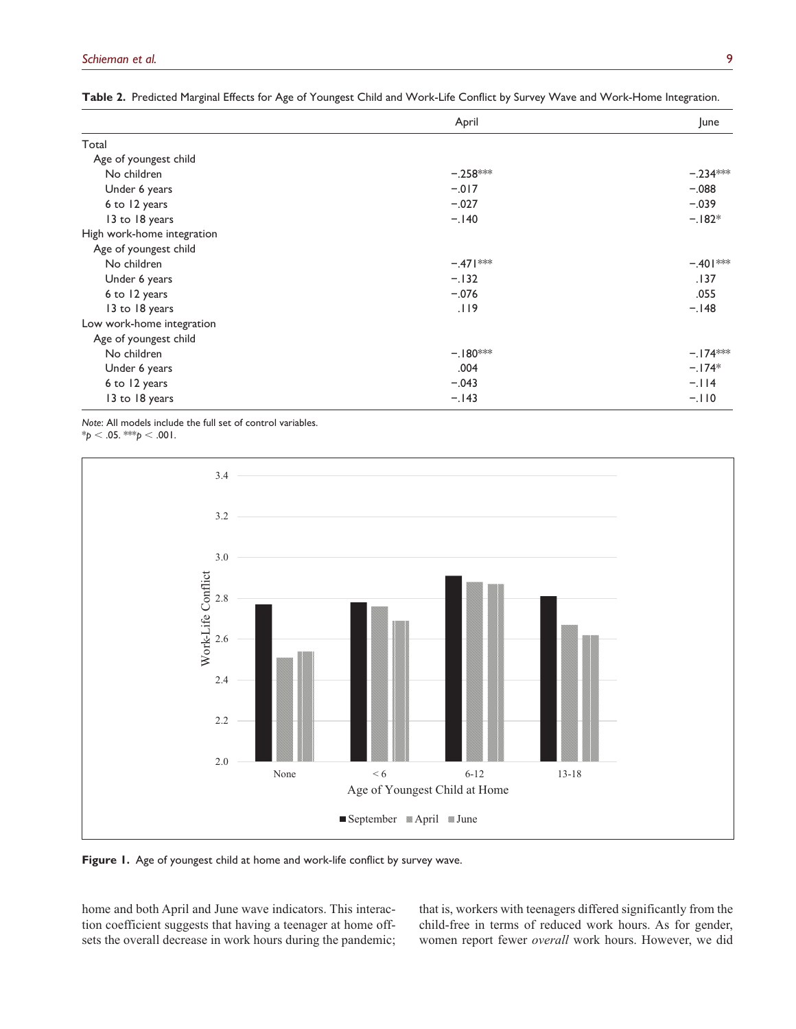|                            | April      | June       |
|----------------------------|------------|------------|
| Total                      |            |            |
| Age of youngest child      |            |            |
| No children                | $-.258***$ | $-.234***$ |
| Under 6 years              | $-0.017$   | $-.088$    |
| 6 to 12 years              | $-.027$    | $-.039$    |
| 13 to 18 years             | $-.140$    | $-.182*$   |
| High work-home integration |            |            |
| Age of youngest child      |            |            |
| No children                | $-.471***$ | $-.401***$ |
| Under 6 years              | $-.132$    | .137       |
| 6 to 12 years              | $-.076$    | .055       |
| 13 to 18 years             | .119       | $-.148$    |
| Low work-home integration  |            |            |
| Age of youngest child      |            |            |
| No children                | $-.180***$ | $-.174***$ |
| Under 6 years              | .004       | $-.174*$   |
| 6 to 12 years              | $-.043$    | $-114$     |
| 13 to 18 years             | $-.143$    | $-.110$    |

**Table 2.** Predicted Marginal Effects for Age of Youngest Child and Work-Life Conflict by Survey Wave and Work-Home Integration.

*Note*: All models include the full set of control variables.

\**p* < .05. \*\*\**p* < .001.



**Figure 1.** Age of youngest child at home and work-life conflict by survey wave.

home and both April and June wave indicators. This interaction coefficient suggests that having a teenager at home offsets the overall decrease in work hours during the pandemic; that is, workers with teenagers differed significantly from the child-free in terms of reduced work hours. As for gender, women report fewer *overall* work hours. However, we did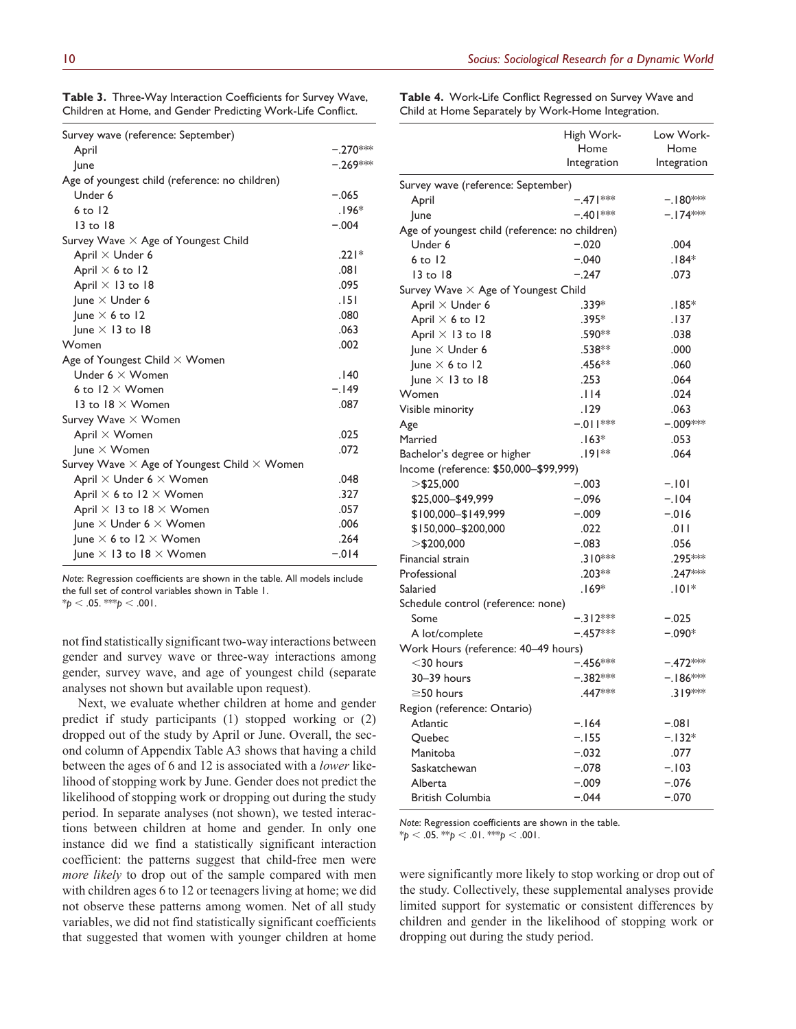| Table 3. Three-Way Interaction Coefficients for Survey Wave, |  |  |
|--------------------------------------------------------------|--|--|
| Children at Home, and Gender Predicting Work-Life Conflict.  |  |  |

**Table 4.** Work-Life Conflict Regressed on Survey Wave and Child at Home Separately by Work-Home Integration.

| Survey wave (reference: September)                        |            |
|-----------------------------------------------------------|------------|
| April                                                     | $-.270***$ |
| lune                                                      | $-.269***$ |
| Age of youngest child (reference: no children)            |            |
| Under 6                                                   | $-.065$    |
| $6$ to $12$                                               | $.196*$    |
| $13 \text{ to } 18$                                       | $-.004$    |
| Survey Wave $\times$ Age of Youngest Child                |            |
| April $\times$ Under 6                                    | $.221*$    |
| April $\times$ 6 to 12                                    | .081       |
| April $\times$ 13 to 18                                   | .095       |
| June $\times$ Under 6                                     | .151       |
| lune $\times$ 6 to 12                                     | .080       |
| June $\times$ 13 to 18                                    | .063       |
| Women                                                     | .002       |
| Age of Youngest Child $\times$ Women                      |            |
| Under $6 \times W$ omen                                   | .140       |
| 6 to $12 \times W$ omen                                   | $-.149$    |
| 13 to 18 $\times$ Women                                   | .087       |
| Survey Wave $\times$ Women                                |            |
| April $\times$ Women                                      | .025       |
| June $\times$ Women                                       | .072       |
| Survey Wave $\times$ Age of Youngest Child $\times$ Women |            |
| April $\times$ Under 6 $\times$ Women                     | .048       |
| April $\times$ 6 to 12 $\times$ Women                     | 327        |
| April $\times$ 13 to 18 $\times$ Women                    | .057       |
| June $\times$ Under 6 $\times$ Women                      | .006       |
| June $\times$ 6 to 12 $\times$ Women                      | .264       |
| June $\times$ 13 to 18 $\times$ Women                     | $-.014$    |

*Note*: Regression coefficients are shown in the table. All models include the full set of control variables shown in Table 1.

 $*_{p}$  < .05. \*\*\**p* < .001.

not find statistically significant two-way interactions between gender and survey wave or three-way interactions among gender, survey wave, and age of youngest child (separate analyses not shown but available upon request).

Next, we evaluate whether children at home and gender predict if study participants (1) stopped working or (2) dropped out of the study by April or June. Overall, the second column of Appendix Table A3 shows that having a child between the ages of 6 and 12 is associated with a *lower* likelihood of stopping work by June. Gender does not predict the likelihood of stopping work or dropping out during the study period. In separate analyses (not shown), we tested interactions between children at home and gender. In only one instance did we find a statistically significant interaction coefficient: the patterns suggest that child-free men were *more likely* to drop out of the sample compared with men with children ages 6 to 12 or teenagers living at home; we did not observe these patterns among women. Net of all study variables, we did not find statistically significant coefficients that suggested that women with younger children at home

|                                                | High Work-  | Low Work-   |
|------------------------------------------------|-------------|-------------|
|                                                | Home        | Home        |
|                                                | Integration | Integration |
| Survey wave (reference: September)             |             |             |
| April                                          | $-.471***$  | $-.180***$  |
| June                                           | $-.401***$  | –.I74***    |
| Age of youngest child (reference: no children) |             |             |
| Under 6                                        | $-.020$     | .004        |
| 6 to 12                                        | $-.040$     | $.184*$     |
| 13 to 18                                       | $-.247$     | .073        |
| Survey Wave $\times$ Age of Youngest Child     |             |             |
| April × Under 6                                | .339*       | $.185*$     |
| April $\times$ 6 to 12                         | $.395*$     | .137        |
| April $\times$ 13 to 18                        | .590**      | .038        |
| June $\times$ Under 6                          | .538**      | .000        |
| June $\times$ 6 to 12                          | .456**      | .060        |
| June $\times$ 13 to 18                         | .253        | .064        |
| Women                                          | .114        | .024        |
| Visible minority                               | .129        | .063        |
| Age                                            | $-011$ **   | $-.009***$  |
| Married                                        | $.163*$     | .053        |
| Bachelor's degree or higher                    | $.191**$    | .064        |
| Income (reference: \$50,000-\$99,999)          |             |             |
| $>\frac{6}{25,000}$                            | $-.003$     | $-.101$     |
| \$25,000-\$49,999                              | $-.096$     | $-.104$     |
| \$100,000-\$149,999                            | $-.009$     | $-0.016$    |
| \$150,000-\$200,000                            | .022        | .011        |
| $>$ \$200,000                                  | $-.083$     | .056        |
| Financial strain                               | $.310***$   | .295 ***    |
| Professional                                   | $.203**$    | $.247***$   |
| Salaried                                       | $.169*$     | $.101*$     |
| Schedule control (reference: none)             |             |             |
| Some                                           | $-.312***$  | $-.025$     |
| A lot/complete                                 | $-.457***$  | $-.090*$    |
| Work Hours (reference: 40-49 hours)            |             |             |
| $<$ 30 hours                                   | $-.456***$  | $-.472***$  |
| 30-39 hours                                    | –.382***    | $-.186***$  |
| $\geq$ 50 hours                                | 447***      | .319***     |
| Region (reference: Ontario)                    |             |             |
| Atlantic                                       | $-.164$     | $-.081$     |
| Quebec                                         | $-.155$     | $-.132*$    |
| Manitoba                                       | $-.032$     | .077        |
| Saskatchewan                                   | $-.078$     | $-.103$     |
| Alberta                                        | $-.009$     | $-.076$     |
| <b>British Columbia</b>                        | $-.044$     | $-.070$     |

*Note*: Regression coefficients are shown in the table.

\**p* < .05. \*\**p* < .01. \*\*\**p* < .001.

were significantly more likely to stop working or drop out of the study. Collectively, these supplemental analyses provide limited support for systematic or consistent differences by children and gender in the likelihood of stopping work or dropping out during the study period.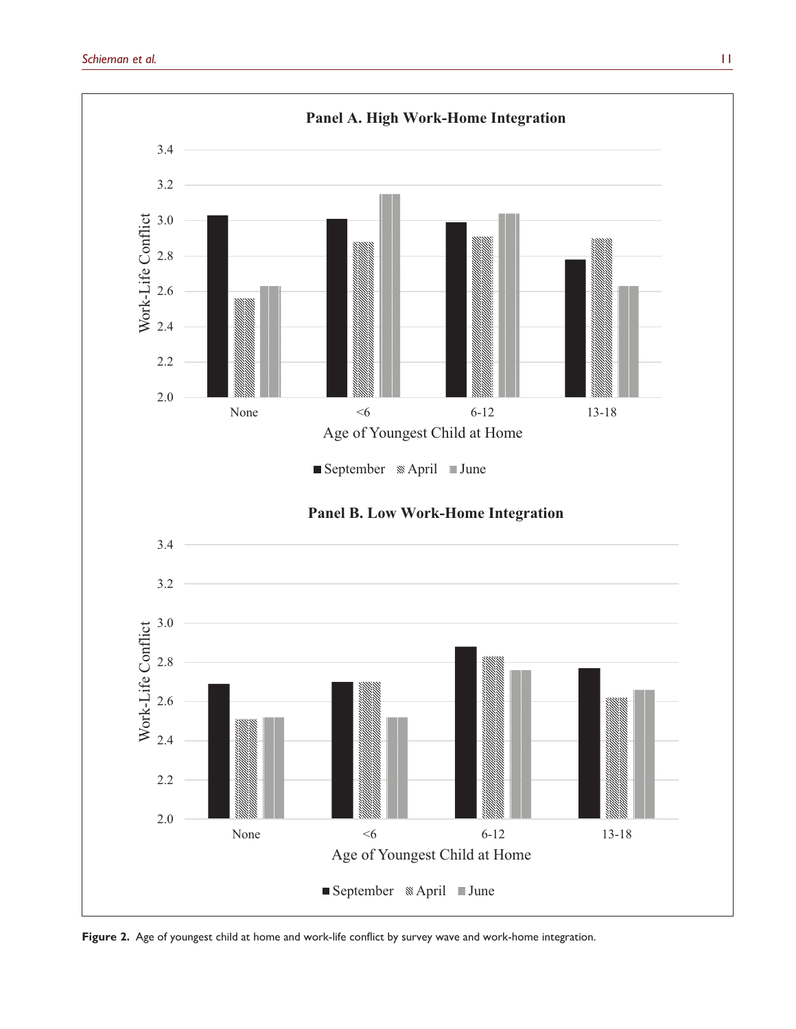

Figure 2. Age of youngest child at home and work-life conflict by survey wave and work-home integration.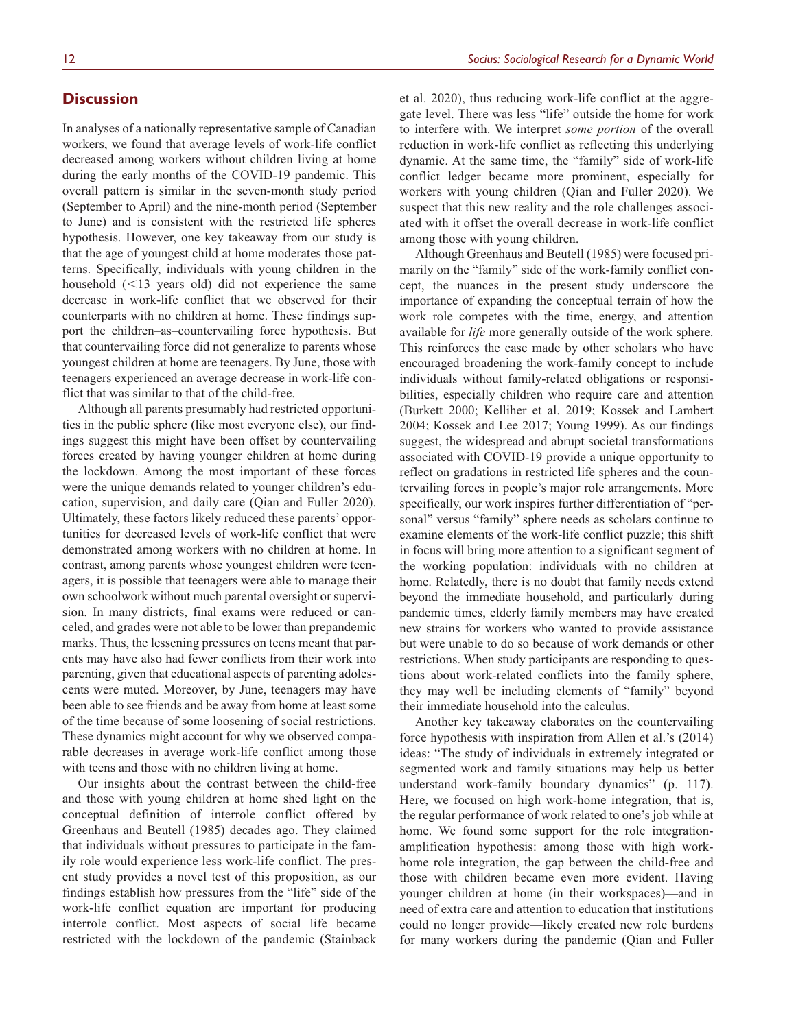## **Discussion**

In analyses of a nationally representative sample of Canadian workers, we found that average levels of work-life conflict decreased among workers without children living at home during the early months of the COVID-19 pandemic. This overall pattern is similar in the seven-month study period (September to April) and the nine-month period (September to June) and is consistent with the restricted life spheres hypothesis. However, one key takeaway from our study is that the age of youngest child at home moderates those patterns. Specifically, individuals with young children in the household (<13 years old) did not experience the same decrease in work-life conflict that we observed for their counterparts with no children at home. These findings support the children–as–countervailing force hypothesis. But that countervailing force did not generalize to parents whose youngest children at home are teenagers. By June, those with teenagers experienced an average decrease in work-life conflict that was similar to that of the child-free.

Although all parents presumably had restricted opportunities in the public sphere (like most everyone else), our findings suggest this might have been offset by countervailing forces created by having younger children at home during the lockdown. Among the most important of these forces were the unique demands related to younger children's education, supervision, and daily care (Qian and Fuller 2020). Ultimately, these factors likely reduced these parents' opportunities for decreased levels of work-life conflict that were demonstrated among workers with no children at home. In contrast, among parents whose youngest children were teenagers, it is possible that teenagers were able to manage their own schoolwork without much parental oversight or supervision. In many districts, final exams were reduced or canceled, and grades were not able to be lower than prepandemic marks. Thus, the lessening pressures on teens meant that parents may have also had fewer conflicts from their work into parenting, given that educational aspects of parenting adolescents were muted. Moreover, by June, teenagers may have been able to see friends and be away from home at least some of the time because of some loosening of social restrictions. These dynamics might account for why we observed comparable decreases in average work-life conflict among those with teens and those with no children living at home.

Our insights about the contrast between the child-free and those with young children at home shed light on the conceptual definition of interrole conflict offered by Greenhaus and Beutell (1985) decades ago. They claimed that individuals without pressures to participate in the family role would experience less work-life conflict. The present study provides a novel test of this proposition, as our findings establish how pressures from the "life" side of the work-life conflict equation are important for producing interrole conflict. Most aspects of social life became restricted with the lockdown of the pandemic (Stainback

et al. 2020), thus reducing work-life conflict at the aggregate level. There was less "life" outside the home for work to interfere with. We interpret *some portion* of the overall reduction in work-life conflict as reflecting this underlying dynamic. At the same time, the "family" side of work-life conflict ledger became more prominent, especially for workers with young children (Qian and Fuller 2020). We suspect that this new reality and the role challenges associated with it offset the overall decrease in work-life conflict among those with young children.

Although Greenhaus and Beutell (1985) were focused primarily on the "family" side of the work-family conflict concept, the nuances in the present study underscore the importance of expanding the conceptual terrain of how the work role competes with the time, energy, and attention available for *life* more generally outside of the work sphere. This reinforces the case made by other scholars who have encouraged broadening the work-family concept to include individuals without family-related obligations or responsibilities, especially children who require care and attention (Burkett 2000; Kelliher et al. 2019; Kossek and Lambert 2004; Kossek and Lee 2017; Young 1999). As our findings suggest, the widespread and abrupt societal transformations associated with COVID-19 provide a unique opportunity to reflect on gradations in restricted life spheres and the countervailing forces in people's major role arrangements. More specifically, our work inspires further differentiation of "personal" versus "family" sphere needs as scholars continue to examine elements of the work-life conflict puzzle; this shift in focus will bring more attention to a significant segment of the working population: individuals with no children at home. Relatedly, there is no doubt that family needs extend beyond the immediate household, and particularly during pandemic times, elderly family members may have created new strains for workers who wanted to provide assistance but were unable to do so because of work demands or other restrictions. When study participants are responding to questions about work-related conflicts into the family sphere, they may well be including elements of "family" beyond their immediate household into the calculus.

Another key takeaway elaborates on the countervailing force hypothesis with inspiration from Allen et al.'s (2014) ideas: "The study of individuals in extremely integrated or segmented work and family situations may help us better understand work-family boundary dynamics" (p. 117). Here, we focused on high work-home integration, that is, the regular performance of work related to one's job while at home. We found some support for the role integrationamplification hypothesis: among those with high workhome role integration, the gap between the child-free and those with children became even more evident. Having younger children at home (in their workspaces)—and in need of extra care and attention to education that institutions could no longer provide—likely created new role burdens for many workers during the pandemic (Qian and Fuller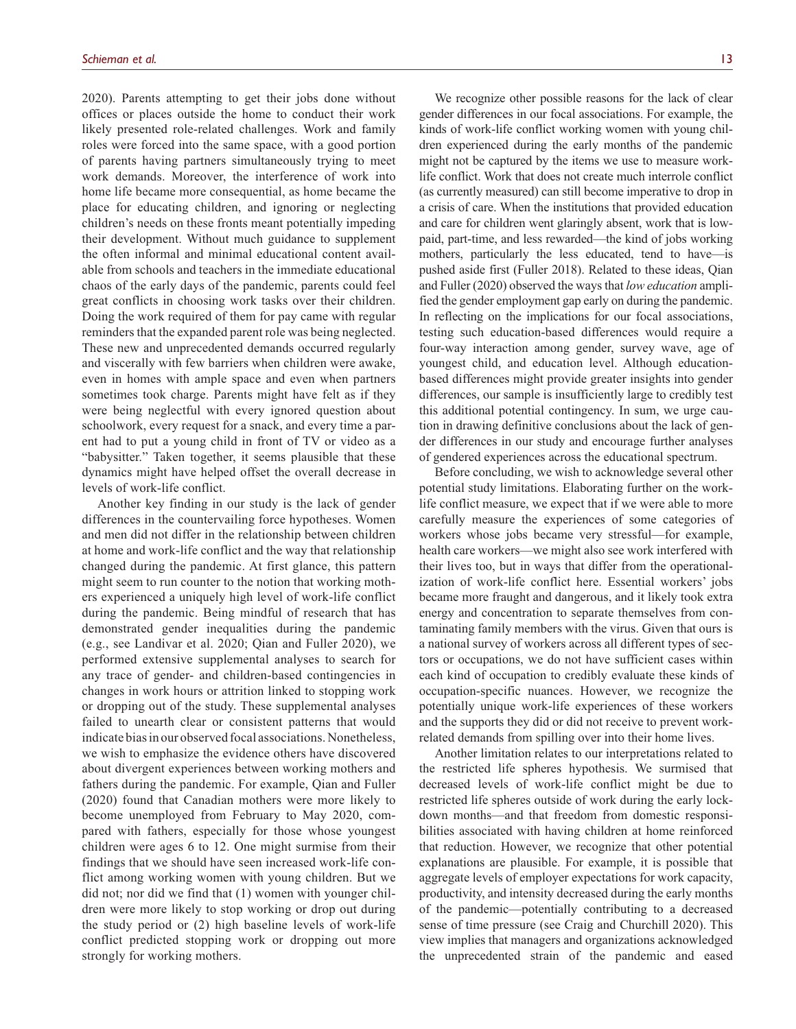2020). Parents attempting to get their jobs done without offices or places outside the home to conduct their work likely presented role-related challenges. Work and family roles were forced into the same space, with a good portion of parents having partners simultaneously trying to meet work demands. Moreover, the interference of work into home life became more consequential, as home became the place for educating children, and ignoring or neglecting children's needs on these fronts meant potentially impeding their development. Without much guidance to supplement the often informal and minimal educational content available from schools and teachers in the immediate educational chaos of the early days of the pandemic, parents could feel great conflicts in choosing work tasks over their children. Doing the work required of them for pay came with regular reminders that the expanded parent role was being neglected. These new and unprecedented demands occurred regularly and viscerally with few barriers when children were awake, even in homes with ample space and even when partners sometimes took charge. Parents might have felt as if they were being neglectful with every ignored question about schoolwork, every request for a snack, and every time a parent had to put a young child in front of TV or video as a "babysitter." Taken together, it seems plausible that these dynamics might have helped offset the overall decrease in levels of work-life conflict.

Another key finding in our study is the lack of gender differences in the countervailing force hypotheses. Women and men did not differ in the relationship between children at home and work-life conflict and the way that relationship changed during the pandemic. At first glance, this pattern might seem to run counter to the notion that working mothers experienced a uniquely high level of work-life conflict during the pandemic. Being mindful of research that has demonstrated gender inequalities during the pandemic (e.g., see Landivar et al. 2020; Qian and Fuller 2020), we performed extensive supplemental analyses to search for any trace of gender- and children-based contingencies in changes in work hours or attrition linked to stopping work or dropping out of the study. These supplemental analyses failed to unearth clear or consistent patterns that would indicate bias in our observed focal associations. Nonetheless, we wish to emphasize the evidence others have discovered about divergent experiences between working mothers and fathers during the pandemic. For example, Qian and Fuller (2020) found that Canadian mothers were more likely to become unemployed from February to May 2020, compared with fathers, especially for those whose youngest children were ages 6 to 12. One might surmise from their findings that we should have seen increased work-life conflict among working women with young children. But we did not; nor did we find that (1) women with younger children were more likely to stop working or drop out during the study period or (2) high baseline levels of work-life conflict predicted stopping work or dropping out more strongly for working mothers.

We recognize other possible reasons for the lack of clear gender differences in our focal associations. For example, the kinds of work-life conflict working women with young children experienced during the early months of the pandemic might not be captured by the items we use to measure worklife conflict. Work that does not create much interrole conflict (as currently measured) can still become imperative to drop in a crisis of care. When the institutions that provided education and care for children went glaringly absent, work that is lowpaid, part-time, and less rewarded—the kind of jobs working mothers, particularly the less educated, tend to have—is pushed aside first (Fuller 2018). Related to these ideas, Qian and Fuller (2020) observed the ways that *low education* amplified the gender employment gap early on during the pandemic. In reflecting on the implications for our focal associations, testing such education-based differences would require a four-way interaction among gender, survey wave, age of youngest child, and education level. Although educationbased differences might provide greater insights into gender differences, our sample is insufficiently large to credibly test this additional potential contingency. In sum, we urge caution in drawing definitive conclusions about the lack of gender differences in our study and encourage further analyses of gendered experiences across the educational spectrum.

Before concluding, we wish to acknowledge several other potential study limitations. Elaborating further on the worklife conflict measure, we expect that if we were able to more carefully measure the experiences of some categories of workers whose jobs became very stressful—for example, health care workers—we might also see work interfered with their lives too, but in ways that differ from the operationalization of work-life conflict here. Essential workers' jobs became more fraught and dangerous, and it likely took extra energy and concentration to separate themselves from contaminating family members with the virus. Given that ours is a national survey of workers across all different types of sectors or occupations, we do not have sufficient cases within each kind of occupation to credibly evaluate these kinds of occupation-specific nuances. However, we recognize the potentially unique work-life experiences of these workers and the supports they did or did not receive to prevent workrelated demands from spilling over into their home lives.

Another limitation relates to our interpretations related to the restricted life spheres hypothesis. We surmised that decreased levels of work-life conflict might be due to restricted life spheres outside of work during the early lockdown months—and that freedom from domestic responsibilities associated with having children at home reinforced that reduction. However, we recognize that other potential explanations are plausible. For example, it is possible that aggregate levels of employer expectations for work capacity, productivity, and intensity decreased during the early months of the pandemic—potentially contributing to a decreased sense of time pressure (see Craig and Churchill 2020). This view implies that managers and organizations acknowledged the unprecedented strain of the pandemic and eased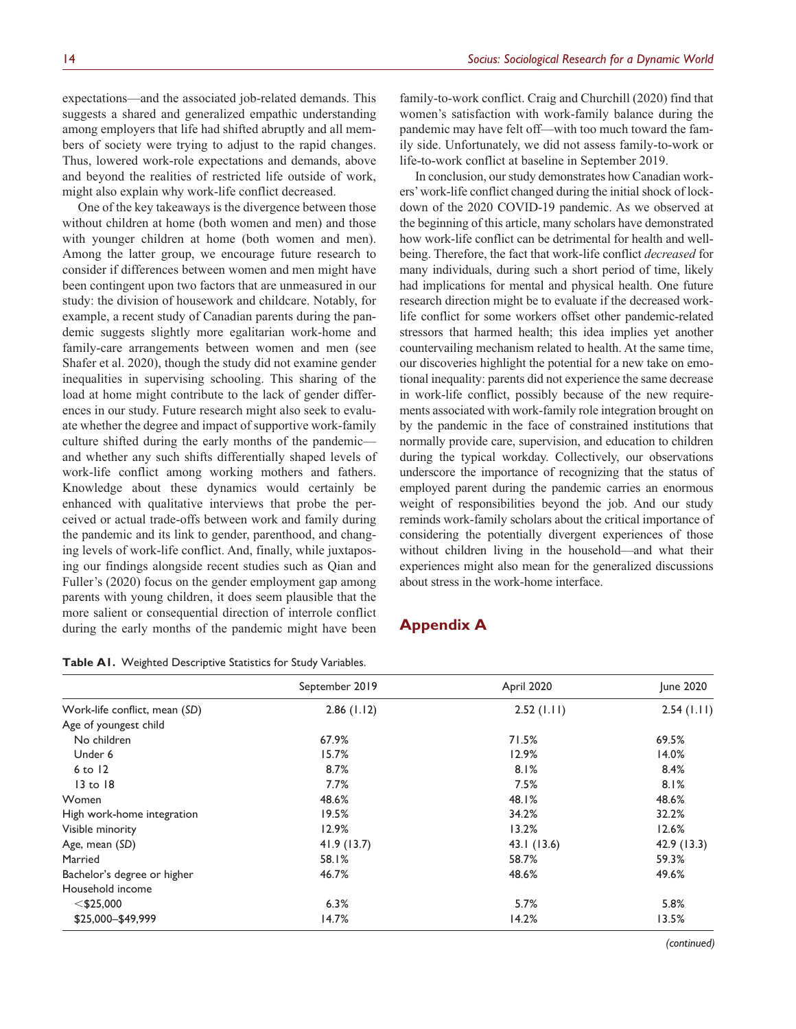expectations—and the associated job-related demands. This suggests a shared and generalized empathic understanding among employers that life had shifted abruptly and all members of society were trying to adjust to the rapid changes. Thus, lowered work-role expectations and demands, above and beyond the realities of restricted life outside of work, might also explain why work-life conflict decreased.

One of the key takeaways is the divergence between those without children at home (both women and men) and those with younger children at home (both women and men). Among the latter group, we encourage future research to consider if differences between women and men might have been contingent upon two factors that are unmeasured in our study: the division of housework and childcare. Notably, for example, a recent study of Canadian parents during the pandemic suggests slightly more egalitarian work-home and family-care arrangements between women and men (see Shafer et al. 2020), though the study did not examine gender inequalities in supervising schooling. This sharing of the load at home might contribute to the lack of gender differences in our study. Future research might also seek to evaluate whether the degree and impact of supportive work-family culture shifted during the early months of the pandemic and whether any such shifts differentially shaped levels of work-life conflict among working mothers and fathers. Knowledge about these dynamics would certainly be enhanced with qualitative interviews that probe the perceived or actual trade-offs between work and family during the pandemic and its link to gender, parenthood, and changing levels of work-life conflict. And, finally, while juxtaposing our findings alongside recent studies such as Qian and Fuller's (2020) focus on the gender employment gap among parents with young children, it does seem plausible that the more salient or consequential direction of interrole conflict during the early months of the pandemic might have been

**Table A1.** Weighted Descriptive Statistics for Study Variables.

family-to-work conflict. Craig and Churchill (2020) find that women's satisfaction with work-family balance during the pandemic may have felt off—with too much toward the family side. Unfortunately, we did not assess family-to-work or life-to-work conflict at baseline in September 2019.

In conclusion, our study demonstrates how Canadian workers' work-life conflict changed during the initial shock of lockdown of the 2020 COVID-19 pandemic. As we observed at the beginning of this article, many scholars have demonstrated how work-life conflict can be detrimental for health and wellbeing. Therefore, the fact that work-life conflict *decreased* for many individuals, during such a short period of time, likely had implications for mental and physical health. One future research direction might be to evaluate if the decreased worklife conflict for some workers offset other pandemic-related stressors that harmed health; this idea implies yet another countervailing mechanism related to health. At the same time, our discoveries highlight the potential for a new take on emotional inequality: parents did not experience the same decrease in work-life conflict, possibly because of the new requirements associated with work-family role integration brought on by the pandemic in the face of constrained institutions that normally provide care, supervision, and education to children during the typical workday. Collectively, our observations underscore the importance of recognizing that the status of employed parent during the pandemic carries an enormous weight of responsibilities beyond the job. And our study reminds work-family scholars about the critical importance of considering the potentially divergent experiences of those without children living in the household—and what their experiences might also mean for the generalized discussions about stress in the work-home interface.

# **Appendix A**

|                               | September 2019 | April 2020    | June 2020  |
|-------------------------------|----------------|---------------|------------|
| Work-life conflict, mean (SD) | $2.86$ (1.12)  | $2.52$ (1.11) | 2.54(1.11) |
| Age of youngest child         |                |               |            |
| No children                   | 67.9%          | 71.5%         | 69.5%      |
| Under 6                       | 15.7%          | 12.9%         | 14.0%      |
| $6$ to $12$                   | 8.7%           | 8.1%          | 8.4%       |
| $13$ to $18$                  | 7.7%           | 7.5%          | 8.1%       |
| Women                         | 48.6%          | 48.1%         | 48.6%      |
| High work-home integration    | 19.5%          | 34.2%         | 32.2%      |
| Visible minority              | 12.9%          | 13.2%         | 12.6%      |
| Age, mean (SD)                | 41.9(13.7)     | 43.1 (13.6)   | 42.9(13.3) |
| Married                       | 58.1%          | 58.7%         | 59.3%      |
| Bachelor's degree or higher   | 46.7%          | 48.6%         | 49.6%      |
| Household income              |                |               |            |
| $<$ \$25,000                  | 6.3%           | 5.7%          | 5.8%       |
| \$25,000 - \$49,999           | 14.7%          | 14.2%         | 13.5%      |
|                               |                |               |            |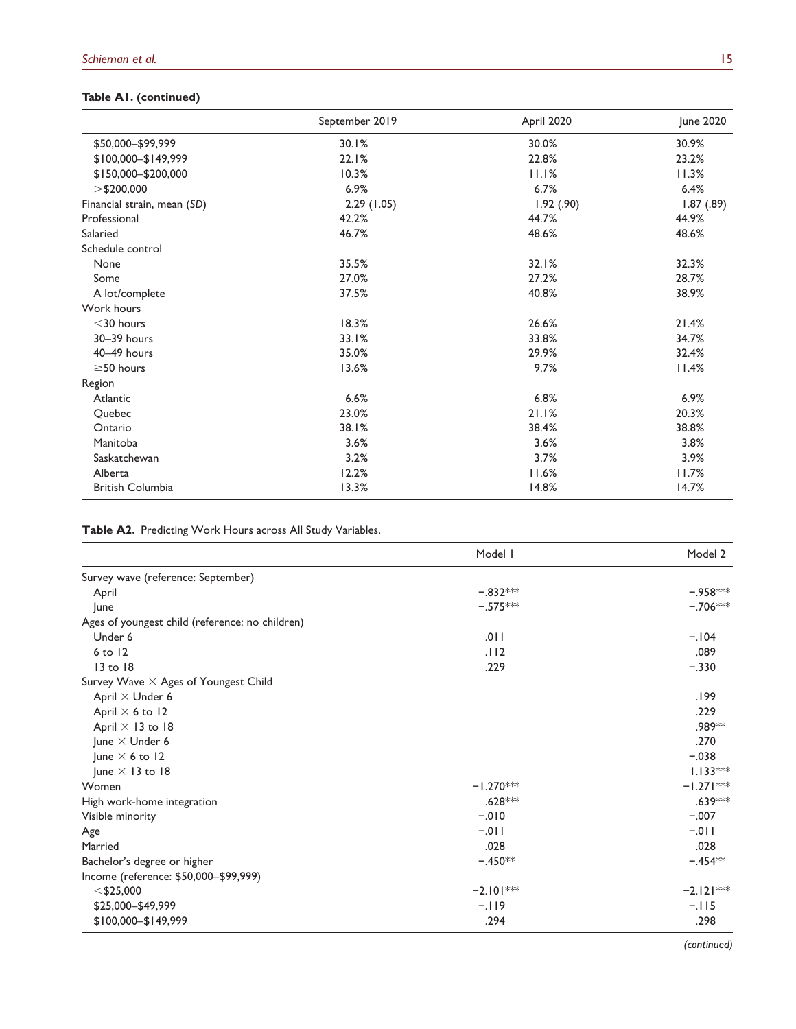# **Table A1. (continued)**

|                             | September 2019 | April 2020 | June 2020  |
|-----------------------------|----------------|------------|------------|
| \$50,000-\$99,999           | 30.1%          | 30.0%      | 30.9%      |
| \$100,000-\$149,999         | 22.1%          | 22.8%      | 23.2%      |
| \$150,000-\$200,000         | 10.3%          | 11.1%      | 11.3%      |
| $>$ \$200,000               | 6.9%           | 6.7%       | 6.4%       |
| Financial strain, mean (SD) | 2.29(1.05)     | 1.92(0.90) | 1.87(0.89) |
| Professional                | 42.2%          | 44.7%      | 44.9%      |
| Salaried                    | 46.7%          | 48.6%      | 48.6%      |
| Schedule control            |                |            |            |
| None                        | 35.5%          | 32.1%      | 32.3%      |
| Some                        | 27.0%          | 27.2%      | 28.7%      |
| A lot/complete              | 37.5%          | 40.8%      | 38.9%      |
| Work hours                  |                |            |            |
| $<$ 30 hours                | 18.3%          | 26.6%      | 21.4%      |
| 30-39 hours                 | 33.1%          | 33.8%      | 34.7%      |
| 40-49 hours                 | 35.0%          | 29.9%      | 32.4%      |
| $\geq$ 50 hours             | 13.6%          | 9.7%       | 11.4%      |
| Region                      |                |            |            |
| Atlantic                    | 6.6%           | 6.8%       | 6.9%       |
| Quebec                      | 23.0%          | 21.1%      | 20.3%      |
| Ontario                     | 38.1%          | 38.4%      | 38.8%      |
| Manitoba                    | 3.6%           | 3.6%       | 3.8%       |
| Saskatchewan                | 3.2%           | 3.7%       | 3.9%       |
| Alberta                     | 12.2%          | 11.6%      | 11.7%      |
| <b>British Columbia</b>     | 13.3%          | 14.8%      | 14.7%      |

**Table A2.** Predicting Work Hours across All Study Variables.

|                                                 | Model I     | Model 2     |
|-------------------------------------------------|-------------|-------------|
| Survey wave (reference: September)              |             |             |
| April                                           | $-.832***$  | $-.958***$  |
| June                                            | $-.575***$  | $-.706***$  |
| Ages of youngest child (reference: no children) |             |             |
| Under 6                                         | .011        | $-.104$     |
| $6$ to $12$                                     | .112        | .089        |
| 13 to 18                                        | .229        | $-.330$     |
| Survey Wave X Ages of Youngest Child            |             |             |
| April $\times$ Under 6                          |             | .199        |
| April $\times$ 6 to 12                          |             | .229        |
| April $\times$ 13 to 18                         |             | .989**      |
| June $\times$ Under 6                           |             | .270        |
| June $\times$ 6 to 12                           |             | $-.038$     |
| June $\times$ 13 to 18                          |             | $1.133***$  |
| Women                                           | $-1.270***$ | $-1.271***$ |
| High work-home integration                      | $.628***$   | .639***     |
| Visible minority                                | $-010$      | $-.007$     |
| Age                                             | $-.011$     | $-.011$     |
| Married                                         | .028        | .028        |
| Bachelor's degree or higher                     | $-.450**$   | $-.454**$   |
| Income (reference: \$50,000-\$99,999)           |             |             |
| $<$ \$25,000                                    | $-2.101***$ | $-2.121***$ |
| \$25,000-\$49,999                               | $-119$      | $-.115$     |
| \$100,000-\$149,999                             | .294        | .298        |

*(continued)*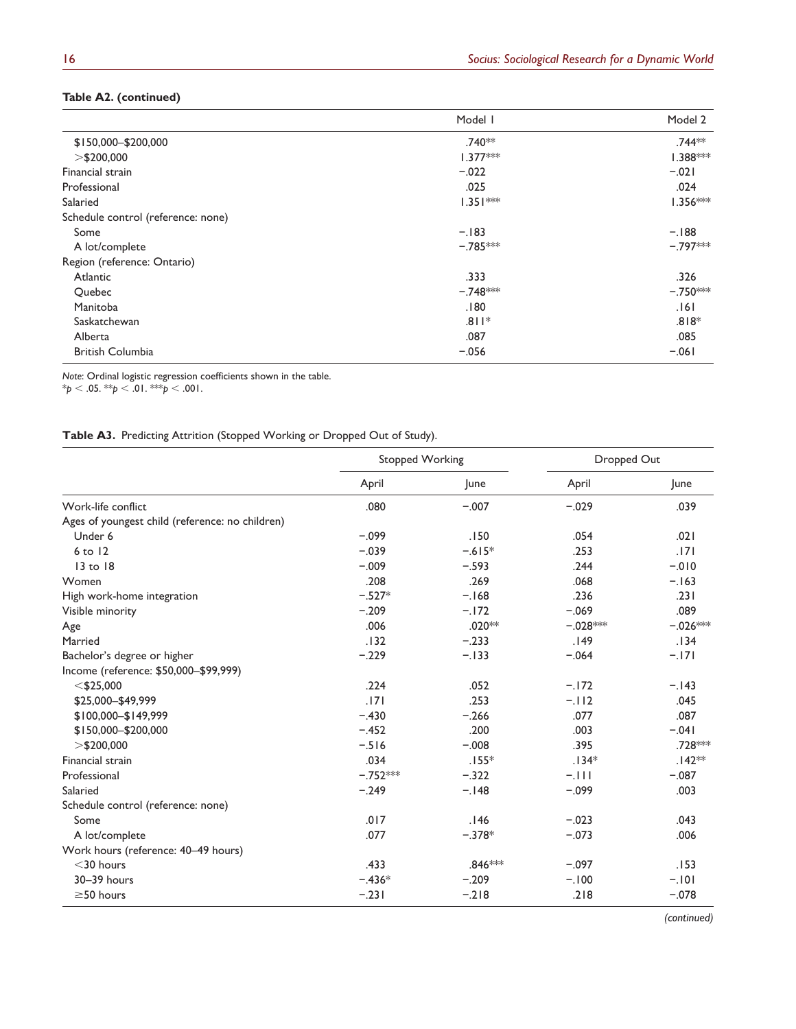## **Table A2. (continued)**

|                                    | Model I    | Model 2    |
|------------------------------------|------------|------------|
| \$150,000-\$200,000                | .740**     | .744**     |
| $>$ \$200,000                      | $1.377***$ | $1.388***$ |
| Financial strain                   | $-.022$    | $-.021$    |
| Professional                       | .025       | .024       |
| Salaried                           | $1.351***$ | $1.356***$ |
| Schedule control (reference: none) |            |            |
| Some                               | $-.183$    | $-.188$    |
| A lot/complete                     | $-.785***$ | $-797***$  |
| Region (reference: Ontario)        |            |            |
| Atlantic                           | .333       | .326       |
| Quebec                             | $-.748***$ | $-.750***$ |
| Manitoba                           | .180       | .161       |
| Saskatchewan                       | $.811*$    | $.818*$    |
| Alberta                            | .087       | .085       |
| <b>British Columbia</b>            | $-.056$    | $-.061$    |

*Note*: Ordinal logistic regression coefficients shown in the table.

\**p* < .05. \*\**p* < .01. \*\*\**p* < .001.

### **Table A3.** Predicting Attrition (Stopped Working or Dropped Out of Study).

|                                                 | <b>Stopped Working</b> |          | Dropped Out |            |
|-------------------------------------------------|------------------------|----------|-------------|------------|
|                                                 | April                  | June     | April       | June       |
| Work-life conflict                              | .080                   | $-.007$  | $-.029$     | .039       |
| Ages of youngest child (reference: no children) |                        |          |             |            |
| Under 6                                         | $-.099$                | .150     | .054        | .021       |
| $6$ to $12$                                     | $-.039$                | $-.615*$ | .253        | .171       |
| $13$ to $18$                                    | $-.009$                | $-.593$  | .244        | $-0.010$   |
| Women                                           | .208                   | .269     | .068        | $-.163$    |
| High work-home integration                      | $-.527*$               | $-168$   | .236        | .231       |
| Visible minority                                | $-.209$                | $-.172$  | $-.069$     | .089       |
| Age                                             | .006                   | $.020**$ | $-.028***$  | $-.026***$ |
| Married                                         | .132                   | $-.233$  | .149        | .134       |
| Bachelor's degree or higher                     | $-.229$                | $-.133$  | $-.064$     | $-.171$    |
| Income (reference: \$50,000-\$99,999)           |                        |          |             |            |
| $<$ \$25,000                                    | .224                   | .052     | $-.172$     | $-.143$    |
| \$25,000-\$49,999                               | .171                   | .253     | $-.112$     | .045       |
| \$100,000-\$149,999                             | $-.430$                | $-.266$  | .077        | .087       |
| \$150,000-\$200,000                             | $-.452$                | .200     | .003        | $-.041$    |
| $>$ \$200,000                                   | $-516$                 | $-.008$  | .395        | .728 ***   |
| Financial strain                                | .034                   | $.155*$  | $.134*$     | $.142**$   |
| Professional                                    | $-.752***$             | $-.322$  | $-.111$     | $-.087$    |
| Salaried                                        | $-.249$                | $-.148$  | $-.099$     | .003       |
| Schedule control (reference: none)              |                        |          |             |            |
| Some                                            | .017                   | .146     | $-.023$     | .043       |
| A lot/complete                                  | .077                   | $-.378*$ | $-.073$     | .006       |
| Work hours (reference: 40-49 hours)             |                        |          |             |            |
| $<$ 30 hours                                    | .433                   | .846 *** | $-.097$     | .153       |
| 30-39 hours                                     | $-.436*$               | $-.209$  | $-.100$     | $-.101$    |
| $\geq$ 50 hours                                 | $-.231$                | $-.218$  | .218        | $-.078$    |

*(continued)*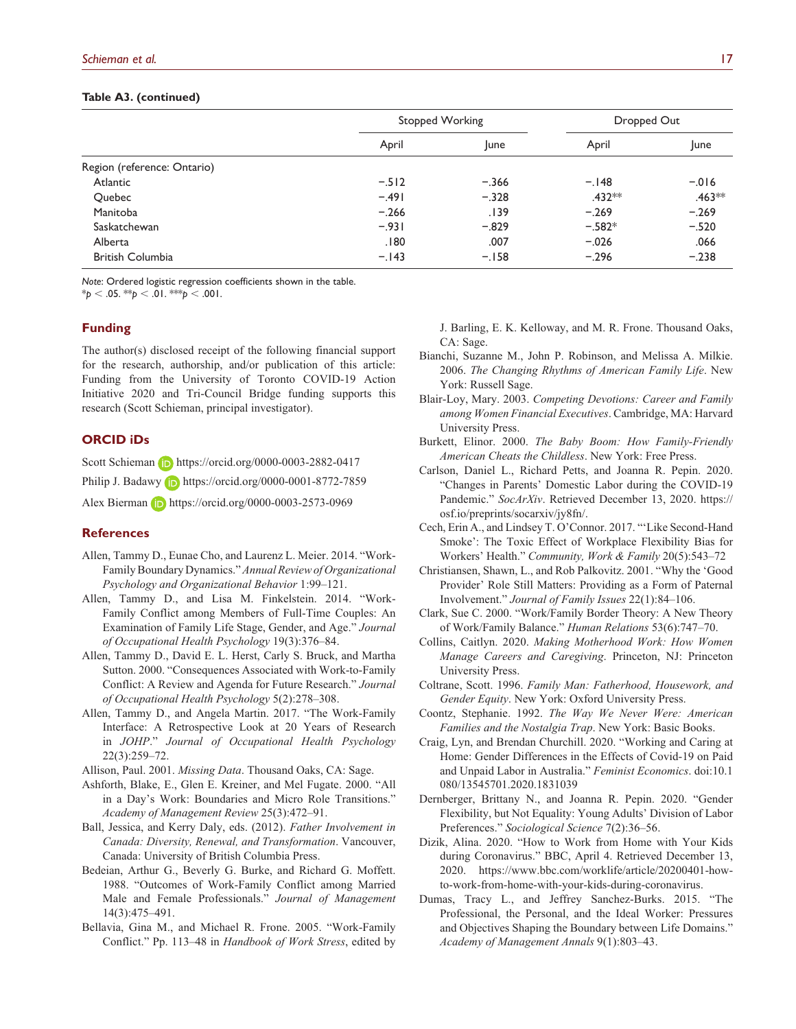#### **Table A3. (continued)**

|                             | Stopped Working |         | Dropped Out |             |
|-----------------------------|-----------------|---------|-------------|-------------|
|                             | April           | lune    | April       | <b>June</b> |
| Region (reference: Ontario) |                 |         |             |             |
| Atlantic                    | $-.512$         | $-.366$ | $-.148$     | $-0.016$    |
| Quebec                      | $-.491$         | $-.328$ | $.432***$   | $.463***$   |
| Manitoba                    | $-.266$         | .139    | $-.269$     | $-.269$     |
| Saskatchewan                | $-.931$         | $-.829$ | $-.582*$    | $-.520$     |
| Alberta                     | .180            | .007    | $-.026$     | .066        |
| <b>British Columbia</b>     | $-.143$         | $-.158$ | $-.296$     | $-.238$     |

*Note*: Ordered logistic regression coefficients shown in the table.

 $*_{p}$  < .05.  $*_{p}$  < .01.  $*_{p}$  < .001.

#### **Funding**

The author(s) disclosed receipt of the following financial support for the research, authorship, and/or publication of this article: Funding from the University of Toronto COVID-19 Action Initiative 2020 and Tri-Council Bridge funding supports this research (Scott Schieman, principal investigator).

#### **ORCID iDs**

Scott Schieman **<https://orcid.org/0000-0003-2882-0417>** Philip J. Badawy **b** <https://orcid.org/0000-0001-8772-7859> Alex Bierman **b** <https://orcid.org/0000-0003-2573-0969>

#### **References**

- Allen, Tammy D., Eunae Cho, and Laurenz L. Meier. 2014. "Work-Family Boundary Dynamics." *Annual Review of Organizational Psychology and Organizational Behavior* 1:99–121.
- Allen, Tammy D., and Lisa M. Finkelstein. 2014. "Work-Family Conflict among Members of Full-Time Couples: An Examination of Family Life Stage, Gender, and Age." *Journal of Occupational Health Psychology* 19(3):376–84.
- Allen, Tammy D., David E. L. Herst, Carly S. Bruck, and Martha Sutton. 2000. "Consequences Associated with Work-to-Family Conflict: A Review and Agenda for Future Research." *Journal of Occupational Health Psychology* 5(2):278–308.
- Allen, Tammy D., and Angela Martin. 2017. "The Work-Family Interface: A Retrospective Look at 20 Years of Research in *JOHP*." *Journal of Occupational Health Psychology* 22(3):259–72.

Allison, Paul. 2001. *Missing Data*. Thousand Oaks, CA: Sage.

- Ashforth, Blake, E., Glen E. Kreiner, and Mel Fugate. 2000. "All in a Day's Work: Boundaries and Micro Role Transitions." *Academy of Management Review* 25(3):472–91.
- Ball, Jessica, and Kerry Daly, eds. (2012). *Father Involvement in Canada: Diversity, Renewal, and Transformation*. Vancouver, Canada: University of British Columbia Press.
- Bedeian, Arthur G., Beverly G. Burke, and Richard G. Moffett. 1988. "Outcomes of Work-Family Conflict among Married Male and Female Professionals." *Journal of Management* 14(3):475–491.
- Bellavia, Gina M., and Michael R. Frone. 2005. "Work-Family Conflict." Pp. 113–48 in *Handbook of Work Stress*, edited by

J. Barling, E. K. Kelloway, and M. R. Frone. Thousand Oaks, CA: Sage.

- Bianchi, Suzanne M., John P. Robinson, and Melissa A. Milkie. 2006. *The Changing Rhythms of American Family Life*. New York: Russell Sage.
- Blair-Loy, Mary. 2003. *Competing Devotions: Career and Family among Women Financial Executives*. Cambridge, MA: Harvard University Press.
- Burkett, Elinor. 2000. *The Baby Boom: How Family-Friendly American Cheats the Childless*. New York: Free Press.
- Carlson, Daniel L., Richard Petts, and Joanna R. Pepin. 2020. "Changes in Parents' Domestic Labor during the COVID-19 Pandemic." *SocArXiv*. Retrieved December 13, 2020. [https://](https://osf.io/preprints/socarxiv/jy8fn/) [osf.io/preprints/socarxiv/jy8fn/](https://osf.io/preprints/socarxiv/jy8fn/).
- Cech, Erin A., and Lindsey T. O'Connor. 2017. "'Like Second-Hand Smoke': The Toxic Effect of Workplace Flexibility Bias for Workers' Health." *Community, Work & Family* 20(5):543–72
- Christiansen, Shawn, L., and Rob Palkovitz. 2001. "Why the 'Good Provider' Role Still Matters: Providing as a Form of Paternal Involvement." *Journal of Family Issues* 22(1):84–106.
- Clark, Sue C. 2000. "Work/Family Border Theory: A New Theory of Work/Family Balance." *Human Relations* 53(6):747–70.
- Collins, Caitlyn. 2020. *Making Motherhood Work: How Women Manage Careers and Caregiving*. Princeton, NJ: Princeton University Press.
- Coltrane, Scott. 1996. *Family Man: Fatherhood, Housework, and Gender Equity*. New York: Oxford University Press.
- Coontz, Stephanie. 1992. *The Way We Never Were: American Families and the Nostalgia Trap*. New York: Basic Books.
- Craig, Lyn, and Brendan Churchill. 2020. "Working and Caring at Home: Gender Differences in the Effects of Covid-19 on Paid and Unpaid Labor in Australia." *Feminist Economics*. doi:10.1 080/13545701.2020.1831039
- Dernberger, Brittany N., and Joanna R. Pepin. 2020. "Gender Flexibility, but Not Equality: Young Adults' Division of Labor Preferences." *Sociological Science* 7(2):36–56.
- Dizik, Alina. 2020. "How to Work from Home with Your Kids during Coronavirus." BBC, April 4. Retrieved December 13, 2020. [https://www.bbc.com/worklife/article/20200401-how](https://www.bbc.com/worklife/article/20200401-how-to-work-from-home-with-your-kids-during-coronavirus)[to-work-from-home-with-your-kids-during-coronavirus.](https://www.bbc.com/worklife/article/20200401-how-to-work-from-home-with-your-kids-during-coronavirus)
- Dumas, Tracy L., and Jeffrey Sanchez-Burks. 2015. "The Professional, the Personal, and the Ideal Worker: Pressures and Objectives Shaping the Boundary between Life Domains." *Academy of Management Annals* 9(1):803–43.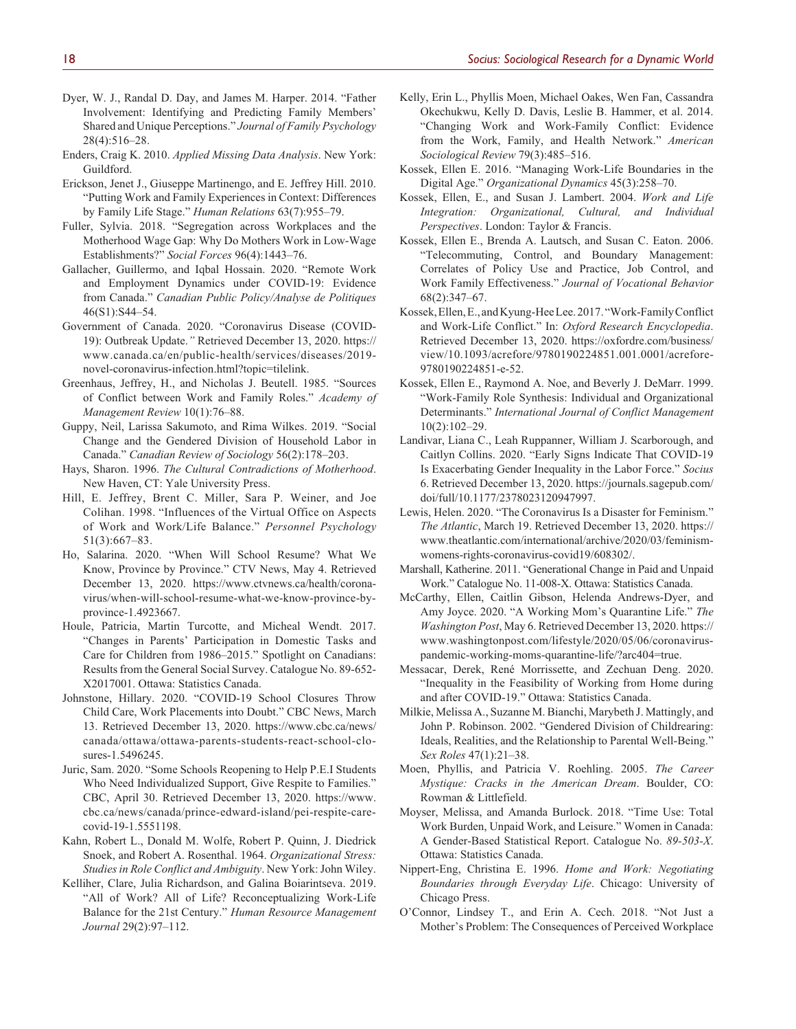- Dyer, W. J., Randal D. Day, and James M. Harper. 2014. "Father Involvement: Identifying and Predicting Family Members' Shared and Unique Perceptions." *Journal of Family Psychology* 28(4):516–28.
- Enders, Craig K. 2010. *Applied Missing Data Analysis*. New York: Guildford.
- Erickson, Jenet J., Giuseppe Martinengo, and E. Jeffrey Hill. 2010. "Putting Work and Family Experiences in Context: Differences by Family Life Stage." *Human Relations* 63(7):955–79.
- Fuller, Sylvia. 2018. "Segregation across Workplaces and the Motherhood Wage Gap: Why Do Mothers Work in Low-Wage Establishments?" *Social Forces* 96(4):1443–76.
- Gallacher, Guillermo, and Iqbal Hossain. 2020. "Remote Work and Employment Dynamics under COVID-19: Evidence from Canada." *Canadian Public Policy/Analyse de Politiques* 46(S1):S44–54.
- Government of Canada. 2020. "Coronavirus Disease (COVID-19): Outbreak Update.*"* Retrieved December 13, 2020. [https://](https://www.canada.ca/en/public-health/services/diseases/2019-novel-coronavirus-infection.html?topic=tilelink) [www.canada.ca/en/public-health/services/diseases/2019](https://www.canada.ca/en/public-health/services/diseases/2019-novel-coronavirus-infection.html?topic=tilelink) [novel-coronavirus-infection.html?topic=tilelink.](https://www.canada.ca/en/public-health/services/diseases/2019-novel-coronavirus-infection.html?topic=tilelink)
- Greenhaus, Jeffrey, H., and Nicholas J. Beutell. 1985. "Sources of Conflict between Work and Family Roles." *Academy of Management Review* 10(1):76–88.
- Guppy, Neil, Larissa Sakumoto, and Rima Wilkes. 2019. "Social Change and the Gendered Division of Household Labor in Canada." *Canadian Review of Sociology* 56(2):178–203.
- Hays, Sharon. 1996. *The Cultural Contradictions of Motherhood*. New Haven, CT: Yale University Press.
- Hill, E. Jeffrey, Brent C. Miller, Sara P. Weiner, and Joe Colihan. 1998. "Influences of the Virtual Office on Aspects of Work and Work/Life Balance." *Personnel Psychology* 51(3):667–83.
- Ho, Salarina. 2020. "When Will School Resume? What We Know, Province by Province." CTV News, May 4. Retrieved December 13, 2020. [https://www.ctvnews.ca/health/corona](https://www.ctvnews.ca/health/coronavirus/when-will-school-resume-what-we-know-province-by-province-1.4923667)[virus/when-will-school-resume-what-we-know-province-by](https://www.ctvnews.ca/health/coronavirus/when-will-school-resume-what-we-know-province-by-province-1.4923667)[province-1.4923667.](https://www.ctvnews.ca/health/coronavirus/when-will-school-resume-what-we-know-province-by-province-1.4923667)
- Houle, Patricia, Martin Turcotte, and Micheal Wendt. 2017. "Changes in Parents' Participation in Domestic Tasks and Care for Children from 1986–2015." Spotlight on Canadians: Results from the General Social Survey. Catalogue No. 89-652- X2017001. Ottawa: Statistics Canada.
- Johnstone, Hillary. 2020. "COVID-19 School Closures Throw Child Care, Work Placements into Doubt." CBC News, March 13. Retrieved December 13, 2020. [https://www.cbc.ca/news/](https://www.cbc.ca/news/canada/ottawa/ottawa-parents-students-react-school-closures-1.5496245) [canada/ottawa/ottawa-parents-students-react-school-clo](https://www.cbc.ca/news/canada/ottawa/ottawa-parents-students-react-school-closures-1.5496245)[sures-1.5496245.](https://www.cbc.ca/news/canada/ottawa/ottawa-parents-students-react-school-closures-1.5496245)
- Juric, Sam. 2020. "Some Schools Reopening to Help P.E.I Students Who Need Individualized Support, Give Respite to Families." CBC, April 30. Retrieved December 13, 2020. [https://www.](https://www.cbc.ca/news/canada/prince-edward-island/pei-respite-care-covid-19-1.5551198) [cbc.ca/news/canada/prince-edward-island/pei-respite-care](https://www.cbc.ca/news/canada/prince-edward-island/pei-respite-care-covid-19-1.5551198)[covid-19-1.5551198](https://www.cbc.ca/news/canada/prince-edward-island/pei-respite-care-covid-19-1.5551198).
- Kahn, Robert L., Donald M. Wolfe, Robert P. Quinn, J. Diedrick Snoek, and Robert A. Rosenthal. 1964. *Organizational Stress: Studies in Role Conflict and Ambiguity*. New York: John Wiley.
- Kelliher, Clare, Julia Richardson, and Galina Boiarintseva. 2019. "All of Work? All of Life? Reconceptualizing Work-Life Balance for the 21st Century." *Human Resource Management Journal* 29(2):97–112.
- Kelly, Erin L., Phyllis Moen, Michael Oakes, Wen Fan, Cassandra Okechukwu, Kelly D. Davis, Leslie B. Hammer, et al. 2014. "Changing Work and Work-Family Conflict: Evidence from the Work, Family, and Health Network." *American Sociological Review* 79(3):485–516.
- Kossek, Ellen E. 2016. "Managing Work-Life Boundaries in the Digital Age." *Organizational Dynamics* 45(3):258–70.
- Kossek, Ellen, E., and Susan J. Lambert. 2004. *Work and Life Integration: Organizational, Cultural, and Individual Perspectives*. London: Taylor & Francis.
- Kossek, Ellen E., Brenda A. Lautsch, and Susan C. Eaton. 2006. "Telecommuting, Control, and Boundary Management: Correlates of Policy Use and Practice, Job Control, and Work Family Effectiveness." *Journal of Vocational Behavior* 68(2):347–67.
- Kossek, Ellen, E., and Kyung-Hee Lee. 2017. "Work-Family Conflict and Work-Life Conflict." In: *Oxford Research Encyclopedia*. Retrieved December 13, 2020. [https://oxfordre.com/business/](https://oxfordre.com/business/view/10.1093/acrefore/9780190224851.001.0001/acrefore-9780190224851-e-52) [view/10.1093/acrefore/9780190224851.001.0001/acrefore-](https://oxfordre.com/business/view/10.1093/acrefore/9780190224851.001.0001/acrefore-9780190224851-e-52)[9780190224851-e-52.](https://oxfordre.com/business/view/10.1093/acrefore/9780190224851.001.0001/acrefore-9780190224851-e-52)
- Kossek, Ellen E., Raymond A. Noe, and Beverly J. DeMarr. 1999. "Work-Family Role Synthesis: Individual and Organizational Determinants." *International Journal of Conflict Management* 10(2):102–29.
- Landivar, Liana C., Leah Ruppanner, William J. Scarborough, and Caitlyn Collins. 2020. "Early Signs Indicate That COVID-19 Is Exacerbating Gender Inequality in the Labor Force." *Socius* 6. Retrieved December 13, 2020. [https://journals.sagepub.com/](https://journals.sagepub.com/doi/full/10.1177/2378023120947997) [doi/full/10.1177/2378023120947997](https://journals.sagepub.com/doi/full/10.1177/2378023120947997).
- Lewis, Helen. 2020. "The Coronavirus Is a Disaster for Feminism." *The Atlantic*, March 19. Retrieved December 13, 2020. [https://](https://www.theatlantic.com/international/archive/2020/03/feminism-womens-rights-coronavirus-covid19/608302/) [www.theatlantic.com/international/archive/2020/03/feminism](https://www.theatlantic.com/international/archive/2020/03/feminism-womens-rights-coronavirus-covid19/608302/)[womens-rights-coronavirus-covid19/608302/](https://www.theatlantic.com/international/archive/2020/03/feminism-womens-rights-coronavirus-covid19/608302/).
- Marshall, Katherine. 2011. "Generational Change in Paid and Unpaid Work." Catalogue No. 11-008-X. Ottawa: Statistics Canada.
- McCarthy, Ellen, Caitlin Gibson, Helenda Andrews-Dyer, and Amy Joyce. 2020. "A Working Mom's Quarantine Life." *The Washington Post*, May 6. Retrieved December 13, 2020. [https://](https://www.washingtonpost.com/lifestyle/2020/05/06/coronavirus-pandemic-working-moms-quarantine-life/?arc404=true) [www.washingtonpost.com/lifestyle/2020/05/06/coronavirus](https://www.washingtonpost.com/lifestyle/2020/05/06/coronavirus-pandemic-working-moms-quarantine-life/?arc404=true)[pandemic-working-moms-quarantine-life/?arc404=true.](https://www.washingtonpost.com/lifestyle/2020/05/06/coronavirus-pandemic-working-moms-quarantine-life/?arc404=true)
- Messacar, Derek, René Morrissette, and Zechuan Deng. 2020. "Inequality in the Feasibility of Working from Home during and after COVID-19." Ottawa: Statistics Canada.
- Milkie, Melissa A., Suzanne M. Bianchi, Marybeth J. Mattingly, and John P. Robinson. 2002. "Gendered Division of Childrearing: Ideals, Realities, and the Relationship to Parental Well-Being." *Sex Roles* 47(1):21–38.
- Moen, Phyllis, and Patricia V. Roehling. 2005. *The Career Mystique: Cracks in the American Dream*. Boulder, CO: Rowman & Littlefield.
- Moyser, Melissa, and Amanda Burlock. 2018. "Time Use: Total Work Burden, Unpaid Work, and Leisure." Women in Canada: A Gender-Based Statistical Report. Catalogue No. *89-503-X*. Ottawa: Statistics Canada.
- Nippert-Eng, Christina E. 1996. *Home and Work: Negotiating Boundaries through Everyday Life*. Chicago: University of Chicago Press.
- O'Connor, Lindsey T., and Erin A. Cech. 2018. "Not Just a Mother's Problem: The Consequences of Perceived Workplace